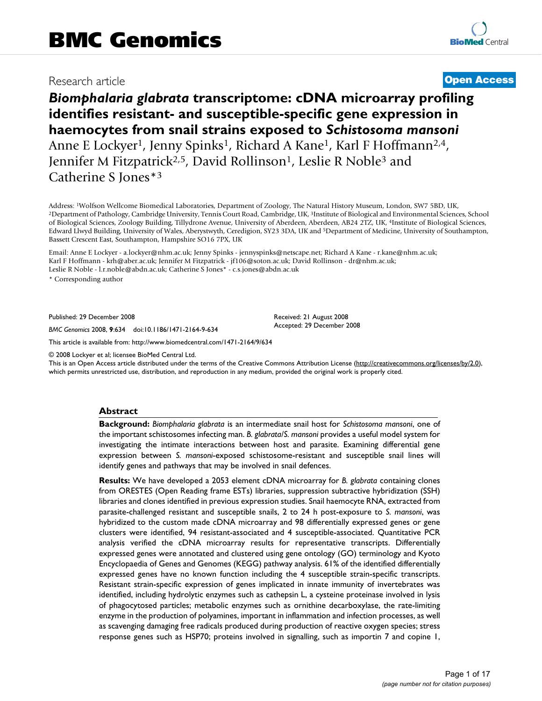# Research article **[Open Access](http://www.biomedcentral.com/info/about/charter/)**

# *Biomphalaria glabrata* **transcriptome: cDNA microarray profiling identifies resistant- and susceptible-specific gene expression in haemocytes from snail strains exposed to** *Schistosoma mansoni* Anne E Lockyer<sup>1</sup>, Jenny Spinks<sup>1</sup>, Richard A Kane<sup>1</sup>, Karl F Hoffmann<sup>2,4</sup>, Jennifer M Fitzpatrick<sup>2,5</sup>, David Rollinson<sup>1</sup>, Leslie R Noble<sup>3</sup> and Catherine S Jones\*3

Address: <sup>1</sup>Wolfson Wellcome Biomedical Laboratories, Department of Zoology, The Natural History Museum, London, SW7 5BD, UK,<br><sup>2</sup>Department of Pathology, Cambridge University, Tennis Court Road, Cambridge, UK, <sup>3</sup>Institute of Biological Sciences, Zoology Building, Tillydrone Avenue, University of Aberdeen, Aberdeen, AB24 2TZ, UK, 4Institute of Biological Sciences, Edward Llwyd Building, University of Wales, Aberystwyth, Ceredigion, SY23 3DA, UK and 5Department of Medicine, University of Southampton, Bassett Crescent East, Southampton, Hampshire SO16 7PX, UK

Email: Anne E Lockyer - a.lockyer@nhm.ac.uk; Jenny Spinks - jennyspinks@netscape.net; Richard A Kane - r.kane@nhm.ac.uk; Karl F Hoffmann - krh@aber.ac.uk; Jennifer M Fitzpatrick - jf106@soton.ac.uk; David Rollinson - dr@nhm.ac.uk; Leslie R Noble - l.r.noble@abdn.ac.uk; Catherine S Jones\* - c.s.jones@abdn.ac.uk

\* Corresponding author

Published: 29 December 2008

*BMC Genomics* 2008, **9**:634 doi:10.1186/1471-2164-9-634

[This article is available from: http://www.biomedcentral.com/1471-2164/9/634](http://www.biomedcentral.com/1471-2164/9/634)

© 2008 Lockyer et al; licensee BioMed Central Ltd.

This is an Open Access article distributed under the terms of the Creative Commons Attribution License [\(http://creativecommons.org/licenses/by/2.0\)](http://creativecommons.org/licenses/by/2.0), which permits unrestricted use, distribution, and reproduction in any medium, provided the original work is properly cited.

Received: 21 August 2008 Accepted: 29 December 2008

#### **Abstract**

**Background:** *Biomphalaria glabrata* is an intermediate snail host for *Schistosoma mansoni*, one of the important schistosomes infecting man. *B. glabrata/S. mansoni* provides a useful model system for investigating the intimate interactions between host and parasite. Examining differential gene expression between *S. mansoni*-exposed schistosome-resistant and susceptible snail lines will identify genes and pathways that may be involved in snail defences.

**Results:** We have developed a 2053 element cDNA microarray for *B. glabrata* containing clones from ORESTES (Open Reading frame ESTs) libraries, suppression subtractive hybridization (SSH) libraries and clones identified in previous expression studies. Snail haemocyte RNA, extracted from parasite-challenged resistant and susceptible snails, 2 to 24 h post-exposure to *S. mansoni*, was hybridized to the custom made cDNA microarray and 98 differentially expressed genes or gene clusters were identified, 94 resistant-associated and 4 susceptible-associated. Quantitative PCR analysis verified the cDNA microarray results for representative transcripts. Differentially expressed genes were annotated and clustered using gene ontology (GO) terminology and Kyoto Encyclopaedia of Genes and Genomes (KEGG) pathway analysis. 61% of the identified differentially expressed genes have no known function including the 4 susceptible strain-specific transcripts. Resistant strain-specific expression of genes implicated in innate immunity of invertebrates was identified, including hydrolytic enzymes such as cathepsin L, a cysteine proteinase involved in lysis of phagocytosed particles; metabolic enzymes such as ornithine decarboxylase, the rate-limiting enzyme in the production of polyamines, important in inflammation and infection processes, as well as scavenging damaging free radicals produced during production of reactive oxygen species; stress response genes such as HSP70; proteins involved in signalling, such as importin 7 and copine 1,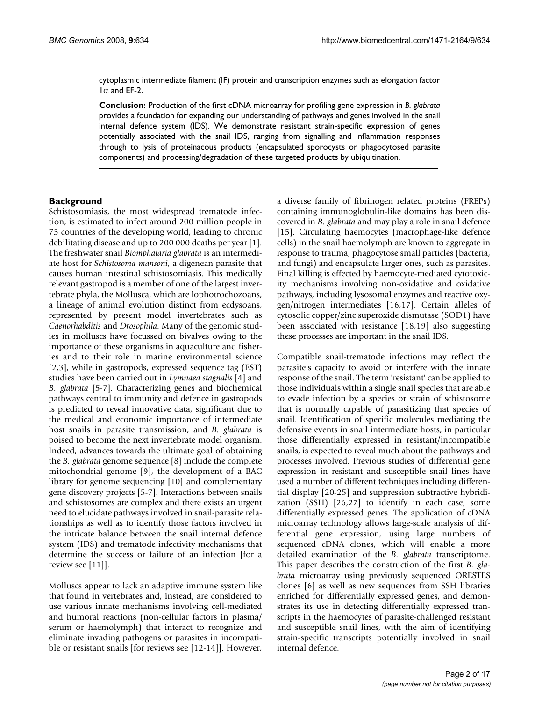cytoplasmic intermediate filament (IF) protein and transcription enzymes such as elongation factor  $1\alpha$  and EF-2.

**Conclusion:** Production of the first cDNA microarray for profiling gene expression in *B. glabrata* provides a foundation for expanding our understanding of pathways and genes involved in the snail internal defence system (IDS). We demonstrate resistant strain-specific expression of genes potentially associated with the snail IDS, ranging from signalling and inflammation responses through to lysis of proteinacous products (encapsulated sporocysts or phagocytosed parasite components) and processing/degradation of these targeted products by ubiquitination.

#### **Background**

Schistosomiasis, the most widespread trematode infection, is estimated to infect around 200 million people in 75 countries of the developing world, leading to chronic debilitating disease and up to 200 000 deaths per year [1]. The freshwater snail *Biomphalaria glabrata* is an intermediate host for *Schistosoma mansoni*, a digenean parasite that causes human intestinal schistosomiasis. This medically relevant gastropod is a member of one of the largest invertebrate phyla, the Mollusca, which are lophotrochozoans, a lineage of animal evolution distinct from ecdysoans, represented by present model invertebrates such as *Caenorhabditis* and *Drosophila*. Many of the genomic studies in molluscs have focussed on bivalves owing to the importance of these organisms in aquaculture and fisheries and to their role in marine environmental science [2,3], while in gastropods, expressed sequence tag (EST) studies have been carried out in *Lymnaea stagnalis* [4] and *B. glabrata* [5[-7](#page-14-0)]. Characterizing genes and biochemical pathways central to immunity and defence in gastropods is predicted to reveal innovative data, significant due to the medical and economic importance of intermediate host snails in parasite transmission, and *B. glabrata* is poised to become the next invertebrate model organism. Indeed, advances towards the ultimate goal of obtaining the *B. glabrata* genome sequence [8] include the complete mitochondrial genome [9], the development of a BAC library for genome sequencing [10] and complementary gene discovery projects [5[-7\]](#page-14-0). Interactions between snails and schistosomes are complex and there exists an urgent need to elucidate pathways involved in snail-parasite relationships as well as to identify those factors involved in the intricate balance between the snail internal defence system (IDS) and trematode infectivity mechanisms that determine the success or failure of an infection [for a review see [11]].

Molluscs appear to lack an adaptive immune system like that found in vertebrates and, instead, are considered to use various innate mechanisms involving cell-mediated and humoral reactions (non-cellular factors in plasma/ serum or haemolymph) that interact to recognize and eliminate invading pathogens or parasites in incompatible or resistant snails [for reviews see [12-14]]. However,

a diverse family of fibrinogen related proteins (FREPs) containing immunoglobulin-like domains has been discovered in *B. glabrata* and may play a role in snail defence [15]. Circulating haemocytes (macrophage-like defence) cells) in the snail haemolymph are known to aggregate in response to trauma, phagocytose small particles (bacteria, and fungi) and encapsulate larger ones, such as parasites. Final killing is effected by haemocyte-mediated cytotoxicity mechanisms involving non-oxidative and oxidative pathways, including lysosomal enzymes and reactive oxygen/nitrogen intermediates [16,17]. Certain alleles of cytosolic copper/zinc superoxide dismutase (SOD1) have been associated with resistance [18,19] also suggesting these processes are important in the snail IDS.

Compatible snail-trematode infections may reflect the parasite's capacity to avoid or interfere with the innate response of the snail. The term 'resistant' can be applied to those individuals within a single snail species that are able to evade infection by a species or strain of schistosome that is normally capable of parasitizing that species of snail. Identification of specific molecules mediating the defensive events in snail intermediate hosts, in particular those differentially expressed in resistant/incompatible snails, is expected to reveal much about the pathways and processes involved. Previous studies of differential gene expression in resistant and susceptible snail lines have used a number of different techniques including differential display [20-25] and suppression subtractive hybridization (SSH) [26,27] to identify in each case, some differentially expressed genes. The application of cDNA microarray technology allows large-scale analysis of differential gene expression, using large numbers of sequenced cDNA clones, which will enable a more detailed examination of the *B. glabrata* transcriptome. This paper describes the construction of the first *B. glabrata* microarray using previously sequenced ORESTES clones [6] as well as new sequences from SSH libraries enriched for differentially expressed genes, and demonstrates its use in detecting differentially expressed transcripts in the haemocytes of parasite-challenged resistant and susceptible snail lines, with the aim of identifying strain-specific transcripts potentially involved in snail internal defence.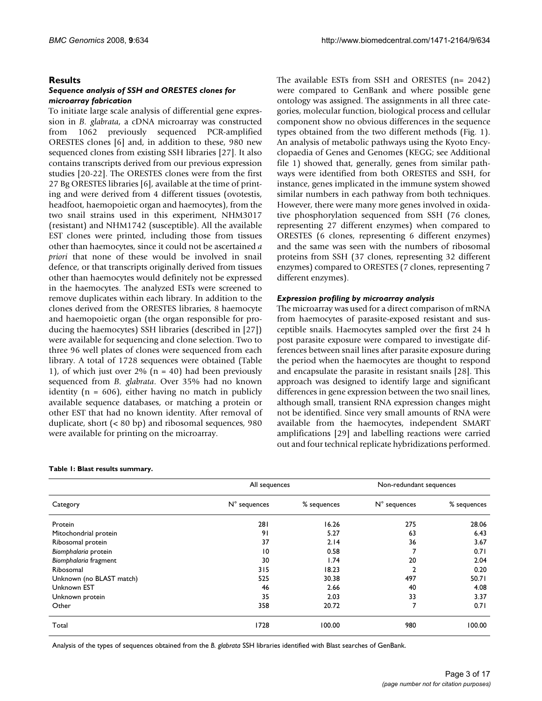#### **Results**

#### *Sequence analysis of SSH and ORESTES clones for microarray fabrication*

To initiate large scale analysis of differential gene expression in *B. glabrata*, a cDNA microarray was constructed from 1062 previously sequenced PCR-amplified ORESTES clones [6] and, in addition to these, 980 new sequenced clones from existing SSH libraries [27]. It also contains transcripts derived from our previous expression studies [20-[22\]](#page-15-0). The ORESTES clones were from the first 27 Bg ORESTES libraries [6], available at the time of printing and were derived from 4 different tissues (ovotestis, headfoot, haemopoietic organ and haemocytes), from the two snail strains used in this experiment, NHM3017 (resistant) and NHM1742 (susceptible). All the available EST clones were printed, including those from tissues other than haemocytes, since it could not be ascertained *a priori* that none of these would be involved in snail defence, or that transcripts originally derived from tissues other than haemocytes would definitely not be expressed in the haemocytes. The analyzed ESTs were screened to remove duplicates within each library. In addition to the clones derived from the ORESTES libraries, 8 haemocyte and haemopoietic organ (the organ responsible for producing the haemocytes) SSH libraries (described in [27]) were available for sequencing and clone selection. Two to three 96 well plates of clones were sequenced from each library. A total of 1728 sequences were obtained (Table 1), of which just over 2% ( $n = 40$ ) had been previously sequenced from *B. glabrata*. Over 35% had no known identity ( $n = 606$ ), either having no match in publicly available sequence databases, or matching a protein or other EST that had no known identity. After removal of duplicate, short (< 80 bp) and ribosomal sequences, 980 were available for printing on the microarray.

## All sequences Non-redundant sequences Category N° sequences % sequences N° sequences % sequences Protein 281 16.26 275 28.06 Mitochondrial protein 6.43 6.43 6.43 Ribosomal protein 37 2.14 36 3.67 *Biomphalaria* protein 10 0.58 7 0.71 *Biomphalaria* fragment 30 1.74 20 2.04 Ribosomal 315 18.23 2 0.20 Unknown (no BLAST match) 525 30.38 497 50.71 Unknown EST 46 2.66 40 4.08 Unknown protein 35 2.03 33 3.37 Other 20.71 20.72 20.72 20.72 20.71 20.71 20.71 20.71 20.71 20.71 20.71 20.71 20.71 20.71 20.71 20.71 20.71 20 Total 1728 100.00 980 100.00

#### **Table 1: Blast results summary.**

Analysis of the types of sequences obtained from the *B. glabrata* SSH libraries identified with Blast searches of GenBank.

The available ESTs from SSH and ORESTES (n= 2042) were compared to GenBank and where possible gene ontology was assigned. The assignments in all three categories, molecular function, biological process and cellular component show no obvious differences in the sequence types obtained from the two different methods (Fig. 1). An analysis of metabolic pathways using the Kyoto Encyclopaedia of Genes and Genomes (KEGG; see Additional file 1) showed that, generally, genes from similar pathways were identified from both ORESTES and SSH, for instance, genes implicated in the immune system showed similar numbers in each pathway from both techniques. However, there were many more genes involved in oxidative phosphorylation sequenced from SSH (76 clones, representing 27 different enzymes) when compared to ORESTES (6 clones, representing 6 different enzymes) and the same was seen with the numbers of ribosomal proteins from SSH (37 clones, representing 32 different enzymes) compared to ORESTES (7 clones, representing 7 different enzymes).

#### *Expression profiling by microarray analysis*

The microarray was used for a direct comparison of mRNA from haemocytes of parasite-exposed resistant and susceptible snails. Haemocytes sampled over the first 24 h post parasite exposure were compared to investigate differences between snail lines after parasite exposure during the period when the haemocytes are thought to respond and encapsulate the parasite in resistant snails [28]. This approach was designed to identify large and significant differences in gene expression between the two snail lines, although small, transient RNA expression changes might not be identified. Since very small amounts of RNA were available from the haemocytes, independent SMART amplifications [29] and labelling reactions were carried out and four technical replicate hybridizations performed.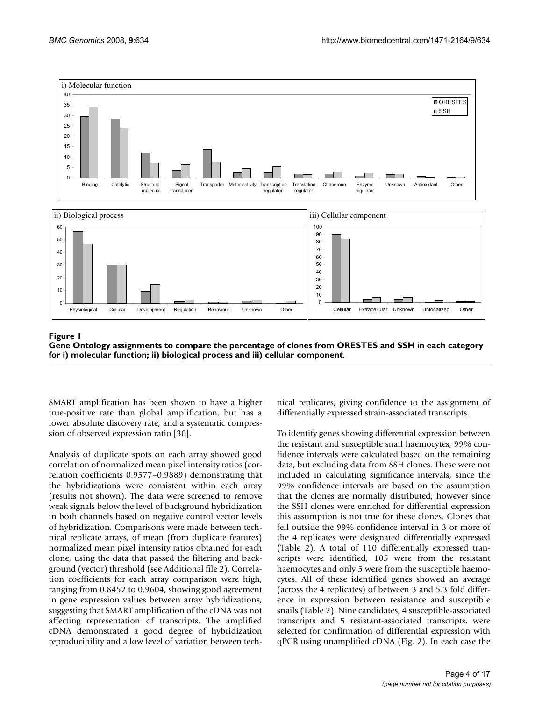

#### Gene Ontology assignments to compare the percentage of clon function; ii) biological proces **Figure 1** s and iii) cellular component es from ORESTES and SSH in each category for i) molecular **Gene Ontology assignments to compare the percentage of clones from ORESTES and SSH in each category for i) molecular function; ii) biological process and iii) cellular component**.

SMART amplification has been shown to have a higher true-positive rate than global amplification, but has a lower absolute discovery rate, and a systematic compression of observed expression ratio [30].

Analysis of duplicate spots on each array showed good correlation of normalized mean pixel intensity ratios (correlation coefficients 0.9577–0.9889) demonstrating that the hybridizations were consistent within each array (results not shown). The data were screened to remove weak signals below the level of background hybridization in both channels based on negative control vector levels of hybridization. Comparisons were made between technical replicate arrays, of mean (from duplicate features) normalized mean pixel intensity ratios obtained for each clone, using the data that passed the filtering and background (vector) threshold (see Additional file 2). Correlation coefficients for each array comparison were high, ranging from 0.8452 to 0.9604, showing good agreement in gene expression values between array hybridizations, suggesting that SMART amplification of the cDNA was not affecting representation of transcripts. The amplified cDNA demonstrated a good degree of hybridization reproducibility and a low level of variation between technical replicates, giving confidence to the assignment of differentially expressed strain-associated transcripts.

To identify genes showing differential expression between the resistant and susceptible snail haemocytes, 99% confidence intervals were calculated based on the remaining data, but excluding data from SSH clones. These were not included in calculating significance intervals, since the 99% confidence intervals are based on the assumption that the clones are normally distributed; however since the SSH clones were enriched for differential expression this assumption is not true for these clones. Clones that fell outside the 99% confidence interval in 3 or more of the 4 replicates were designated differentially expressed (Table 2). A total of 110 differentially expressed transcripts were identified, 105 were from the resistant haemocytes and only 5 were from the susceptible haemocytes. All of these identified genes showed an average (across the 4 replicates) of between 3 and 5.3 fold difference in expression between resistance and susceptible snails (Table 2). Nine candidates, 4 susceptible-associated transcripts and 5 resistant-associated transcripts, were selected for confirmation of differential expression with qPCR using unamplified cDNA (Fig. 2). In each case the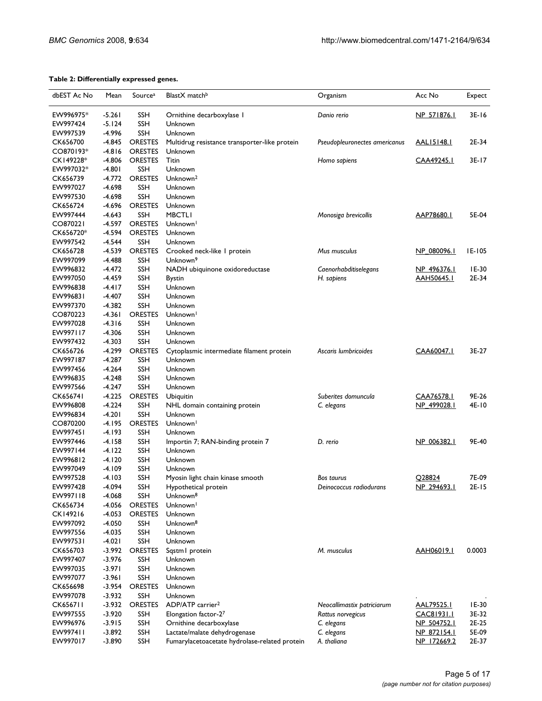#### **Table 2: Differentially expressed genes.**

| dbEST Ac No | Mean      | Sourcea        | BlastX match <sup>b</sup>                     | Organism                      | Acc No             | Expect  |
|-------------|-----------|----------------|-----------------------------------------------|-------------------------------|--------------------|---------|
| EW996975*   | $-5.261$  | SSH            | Ornithine decarboxylase I                     | Danio rerio                   | NP 571876.1        | $3E-16$ |
| EW997424    | $-5.124$  | <b>SSH</b>     | Unknown                                       |                               |                    |         |
| EW997539    | $-4.996$  | <b>SSH</b>     | Unknown                                       |                               |                    |         |
| CK656700    | $-4.845$  | <b>ORESTES</b> | Multidrug resistance transporter-like protein | Pseudopleuronectes americanus | AAL15148.1         | 2E-34   |
| CO870193*   | $-4.816$  | <b>ORESTES</b> | Unknown                                       |                               |                    |         |
| CK149228*   | $-4.806$  | <b>ORESTES</b> | Titin                                         | Homo sapiens                  | CAA49245.1         | $3E-17$ |
| EW997032*   | $-4.801$  | <b>SSH</b>     | Unknown                                       |                               |                    |         |
| CK656739    | $-4.772$  | <b>ORESTES</b> | Unknown <sup>2</sup>                          |                               |                    |         |
| EW997027    | $-4.698$  | <b>SSH</b>     | Unknown                                       |                               |                    |         |
| EW997530    | $-4.698$  | <b>SSH</b>     | Unknown                                       |                               |                    |         |
| CK656724    | $-4.696$  | <b>ORESTES</b> | Unknown                                       |                               |                    |         |
| EW997444    | $-4.643$  | <b>SSH</b>     | <b>MBCTLI</b>                                 | Monosiga brevicollis          | AAP78680.1         | 5E-04   |
| CO870221    | $-4.597$  | <b>ORESTES</b> | Unknown <sup>1</sup>                          |                               |                    |         |
| CK656720*   | $-4.594$  | <b>ORESTES</b> | Unknown                                       |                               |                    |         |
| EW997542    | $-4.544$  | <b>SSH</b>     | Unknown                                       |                               |                    |         |
| CK656728    | $-4.539$  | <b>ORESTES</b> | Crooked neck-like I protein                   | Mus musculus                  | NP 080096.1        | IE-105  |
| EW997099    | $-4.488$  | SSH            | Unknown <sup>9</sup>                          |                               |                    |         |
| EW996832    | $-4.472$  | <b>SSH</b>     | NADH ubiquinone oxidoreductase                | Caenorhabditiselegans         | NP 496376.1        | IE-30   |
| EW997050    | $-4.459$  | <b>SSH</b>     | Bystin                                        | H. sapiens                    | <u>AAH50645.1</u>  | 2E-34   |
| EW996838    | $-4.4$  7 | <b>SSH</b>     | Unknown                                       |                               |                    |         |
| EW996831    | $-4.407$  | <b>SSH</b>     | Unknown                                       |                               |                    |         |
| EW997370    | $-4.382$  | <b>SSH</b>     | Unknown                                       |                               |                    |         |
| CO870223    | -4.361    | <b>ORESTES</b> | Unknown <sup>1</sup>                          |                               |                    |         |
| EW997028    | $-4.316$  | SSH            | Unknown                                       |                               |                    |         |
| EW997117    | $-4.306$  | <b>SSH</b>     | Unknown                                       |                               |                    |         |
| EW997432    | $-4.303$  | <b>SSH</b>     | Unknown                                       |                               |                    |         |
| CK656726    | $-4.299$  | <b>ORESTES</b> | Cytoplasmic intermediate filament protein     | Ascaris lumbricoides          | CAA60047.1         | 3E-27   |
| EW997187    | $-4.287$  | <b>SSH</b>     | Unknown                                       |                               |                    |         |
| EW997456    | $-4.264$  | <b>SSH</b>     | Unknown                                       |                               |                    |         |
| EW996835    | $-4.248$  | <b>SSH</b>     | Unknown                                       |                               |                    |         |
| EW997566    | $-4.247$  | <b>SSH</b>     | Unknown                                       |                               |                    |         |
| CK656741    | $-4.225$  | <b>ORESTES</b> | Ubiquitin                                     | Suberites domuncula           | CAA76578.1         | 9E-26   |
| EW996808    | $-4.224$  | <b>SSH</b>     | NHL domain containing protein                 | C. elegans                    | NP 499028.1        | 4E-10   |
| EW996834    | $-4.201$  | <b>SSH</b>     | Unknown                                       |                               |                    |         |
| CO870200    | -4.195    | <b>ORESTES</b> | Unknown <sup>1</sup>                          |                               |                    |         |
| EW997451    | $-4.193$  | <b>SSH</b>     | Unknown                                       |                               |                    |         |
| EW997446    | $-4.158$  | <b>SSH</b>     | Importin 7; RAN-binding protein 7             | D. rerio                      | NP 006382.1        | 9E-40   |
| EW997144    | $-4.122$  | <b>SSH</b>     | Unknown                                       |                               |                    |         |
| EW996812    | $-4.120$  | <b>SSH</b>     | Unknown                                       |                               |                    |         |
| EW997049    | $-4.109$  | <b>SSH</b>     | Unknown                                       |                               |                    |         |
| EW997528    | $-4.103$  | SSH            | Myosin light chain kinase smooth              | <b>Bos taurus</b>             | Q28824             | 7E-09   |
| EW997428    | -4.094    | SSH            | Hypothetical protein                          | Deinococcus radiodurans       | <u>NP_294693.1</u> | 2E-15   |
| EW997118    | $-4.068$  | <b>SSH</b>     | Unknown <sup>8</sup>                          |                               |                    |         |
| CK656734    | $-4.056$  | <b>ORESTES</b> | Unknown <sup>1</sup>                          |                               |                    |         |
| CK149216    | $-4.053$  | <b>ORESTES</b> | Unknown                                       |                               |                    |         |
| EW997092    | $-4.050$  | SSH            | Unknown <sup>8</sup>                          |                               |                    |         |
| EW997556    | $-4.035$  | <b>SSH</b>     | Unknown                                       |                               |                    |         |
| EW997531    | $-4.021$  | SSH            | Unknown                                       |                               |                    |         |
| CK656703    | $-3.992$  | <b>ORESTES</b> | Sqstm I protein                               | M. musculus                   | <u>AAH06019.1</u>  | 0.0003  |
| EW997407    | $-3.976$  | <b>SSH</b>     | Unknown                                       |                               |                    |         |
| EW997035    | $-3.971$  | <b>SSH</b>     | Unknown                                       |                               |                    |         |
| EW997077    | $-3.961$  | SSH            | Unknown                                       |                               |                    |         |
| CK656698    | -3.954    | <b>ORESTES</b> | Unknown                                       |                               |                    |         |
| EW997078    | $-3.932$  | SSH            | Unknown                                       |                               |                    |         |
| CK656711    | $-3.932$  | <b>ORESTES</b> | ADP/ATP carrier <sup>2</sup>                  | Neocallimastix patriciarum    | <u>AAL79525.1</u>  | IE-30   |
| EW997555    | $-3.920$  | <b>SSH</b>     | Elongation factor-27                          | Rattus norvegicus             | CAC81931.1         | 3E-32   |
| EW996976    | $-3.915$  | <b>SSH</b>     | Ornithine decarboxylase                       | C. elegans                    | NP 504752.1        | 2E-25   |
| EW997411    | $-3.892$  | <b>SSH</b>     | Lactate/malate dehydrogenase                  | C. elegans                    | NP 872154.1        | 5E-09   |
| EW997017    | $-3.890$  | <b>SSH</b>     | Fumarylacetoacetate hydrolase-related protein | A. thaliana                   | NP 172669.2        | 2E-37   |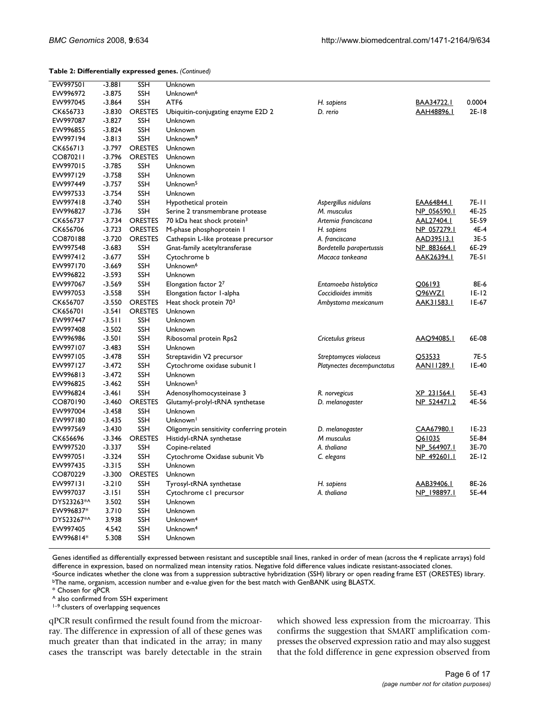**Table 2: Differentially expressed genes.** *(Continued)*

| EW997501   | $-3.881$ | <b>SSH</b>     | Unknown                                   |                            |                    |         |
|------------|----------|----------------|-------------------------------------------|----------------------------|--------------------|---------|
| EW996972   | $-3.875$ | <b>SSH</b>     | Unknown <sup>6</sup>                      |                            |                    |         |
| EW997045   | $-3.864$ | <b>SSH</b>     | ATF <sub>6</sub>                          | H. sapiens                 | BAA34722.1         | 0.0004  |
| CK656733   | $-3.830$ | ORESTES        | Ubiquitin-conjugating enzyme E2D 2        | D. rerio                   | <u>AAH48896.L</u>  | $2E-18$ |
| EW997087   | $-3.827$ | <b>SSH</b>     | Unknown                                   |                            |                    |         |
| EW996855   | $-3.824$ | <b>SSH</b>     | Unknown                                   |                            |                    |         |
| EW997194   | $-3.813$ | <b>SSH</b>     | Unknown <sup>9</sup>                      |                            |                    |         |
|            |          |                |                                           |                            |                    |         |
| CK656713   | $-3.797$ | <b>ORESTES</b> | Unknown                                   |                            |                    |         |
| CO870211   | $-3.796$ | <b>ORESTES</b> | Unknown                                   |                            |                    |         |
| EW997015   | $-3.785$ | <b>SSH</b>     | Unknown                                   |                            |                    |         |
| EW997129   | $-3.758$ | <b>SSH</b>     | Unknown                                   |                            |                    |         |
| EW997449   | $-3.757$ | <b>SSH</b>     | Unknown <sup>5</sup>                      |                            |                    |         |
| EW997533   | $-3.754$ | <b>SSH</b>     | Unknown                                   |                            |                    |         |
| EW997418   | $-3.740$ | <b>SSH</b>     | Hypothetical protein                      | Aspergillus nidulans       | <u>EAA64844.1</u>  | 7E-11   |
| EW996827   | $-3.736$ | <b>SSH</b>     | Serine 2 transmembrane protease           | M. musculus                | NP 056590.1        | 4E-25   |
| CK656737   | $-3.734$ | <b>ORESTES</b> | 70 kDa heat shock protein <sup>3</sup>    | Artemia franciscana        | <u>AAL27404.1</u>  | 5E-59   |
| CK656706   | $-3.723$ | <b>ORESTES</b> | M-phase phosphoprotein I                  | H. sapiens                 | <u>NP 057279.1</u> | 4E-4    |
| CO870188   | $-3.720$ | <b>ORESTES</b> | Cathepsin L-like protease precursor       | A. franciscana             | <u>AAD39513.1</u>  | 3E-5    |
| EW997548   | $-3.683$ | <b>SSH</b>     | Gnat-family acetyltransferase             | Bordetella parapertussis   | NP 883664.1        | 6E-29   |
| EW997412   | $-3.677$ | <b>SSH</b>     | Cytochrome b                              | Macaca tonkeana            | AAK26394.1         | 7E-51   |
| EW997170   | $-3.669$ | <b>SSH</b>     | Unknown <sup>6</sup>                      |                            |                    |         |
| EW996822   | -3.593   | SSH            | Unknown                                   |                            |                    |         |
| EW997067   | $-3.569$ | <b>SSH</b>     | Elongation factor 27                      | Entamoeba histolytica      | O06193             | 8E-6    |
| EW997053   | $-3.558$ | <b>SSH</b>     | Elongation factor I-alpha                 | Coccidioides immitis       | <b>O96WZL</b>      | $E-12$  |
| CK656707   | $-3.550$ | <b>ORESTES</b> | Heat shock protein 70 <sup>3</sup>        | Ambystoma mexicanum        | <u>AAK31583.1</u>  | IE-67   |
| CK656701   | $-3.541$ | <b>ORESTES</b> | Unknown                                   |                            |                    |         |
| EW997447   | $-3.511$ | <b>SSH</b>     | Unknown                                   |                            |                    |         |
| EW997408   | $-3.502$ | <b>SSH</b>     | Unknown                                   |                            |                    |         |
| EW996986   | $-3.501$ | <b>SSH</b>     | Ribosomal protein Rps2                    | Cricetulus griseus         | <u>AAQ94085.1</u>  | 6E-08   |
| EW997107   | $-3.483$ | <b>SSH</b>     | Unknown                                   |                            |                    |         |
| EW997105   | $-3.478$ | <b>SSH</b>     | Streptavidin V2 precursor                 | Streptomyces violaceus     | Q53533             | 7E-5    |
| EW997127   | $-3.472$ | <b>SSH</b>     | Cytochrome oxidase subunit I              | Platynectes decempunctatus | <u>AANI 1289.1</u> | IE-40   |
| EW996813   | $-3.472$ | <b>SSH</b>     | Unknown                                   |                            |                    |         |
| EW996825   | $-3.462$ | <b>SSH</b>     | Unknown <sup>5</sup>                      |                            |                    |         |
| EW996824   | $-3.461$ | <b>SSH</b>     | Adenosylhomocysteinase 3                  | R. norvegicus              | XP 231564.1        | 5E-43   |
| CO870190   | $-3.460$ | <b>ORESTES</b> | Glutamyl-prolyl-tRNA synthetase           | D. melanogaster            | NP 524471.2        | 4E-56   |
| EW997004   | $-3.458$ | <b>SSH</b>     | Unknown                                   |                            |                    |         |
| EW997180   | $-3.435$ | <b>SSH</b>     | Unknown <sup>1</sup>                      |                            |                    |         |
| EW997569   | $-3.430$ | <b>SSH</b>     | Oligomycin sensitivity conferring protein | D. melanogaster            | CAA67980.1         | $IE-23$ |
| CK656696   | $-3.346$ | <b>ORESTES</b> | Histidyl-tRNA synthetase                  | M musculus                 | Q61035             | 5E-84   |
| EW997520   | $-3.337$ | <b>SSH</b>     | Copine-related                            | A. thaliana                | NP 564907.1        | 3E-70   |
| EW997051   | -3.324   | <b>SSH</b>     | Cytochrome Oxidase subunit Vb             | C. elegans                 | NP 492601.1        | $2E-12$ |
| EW997435   | $-3.315$ | <b>SSH</b>     | Unknown                                   |                            |                    |         |
| CO870229   | $-3.300$ | <b>ORESTES</b> | Unknown                                   |                            |                    |         |
| EW997131   | $-3.210$ | SSH            | Tyrosyl-tRNA synthetase                   | H. sapiens                 | AAB39406.L         | 8E-26   |
| EW997037   | $-3.151$ | <b>SSH</b>     | Cytochrome c1 precursor                   | A. thaliana                | NP 198897.1        | 5E-44   |
| DY523263*^ | 3.502    | <b>SSH</b>     | Unknown                                   |                            |                    |         |
| EW996837*  | 3.710    | <b>SSH</b>     | Unknown                                   |                            |                    |         |
| DY523267*^ |          |                | Unknown <sup>4</sup>                      |                            |                    |         |
| EW997405   | 3.938    | <b>SSH</b>     | Unknown <sup>4</sup>                      |                            |                    |         |
|            | 4.542    | <b>SSH</b>     |                                           |                            |                    |         |
| EW996814*  | 5.308    | <b>SSH</b>     | Unknown                                   |                            |                    |         |

Genes identified as differentially expressed between resistant and susceptible snail lines, ranked in order of mean (across the 4 replicate arrays) fold difference in expression, based on normalized mean intensity ratios. Negative fold difference values indicate resistant-associated clones. aSource indicates whether the clone was from a suppression subtractive hybridization (SSH) library or open reading frame EST (ORESTES) library. **bThe name, organism, accession number and e-value given for the best match with GenBANK using BLASTX.** 

\* Chosen for qPCR

^ also confirmed from SSH experiment

1–9 clusters of overlapping sequences

qPCR result confirmed the result found from the microarray. The difference in expression of all of these genes was much greater than that indicated in the array; in many cases the transcript was barely detectable in the strain which showed less expression from the microarray. This confirms the suggestion that SMART amplification compresses the observed expression ratio and may also suggest that the fold difference in gene expression observed from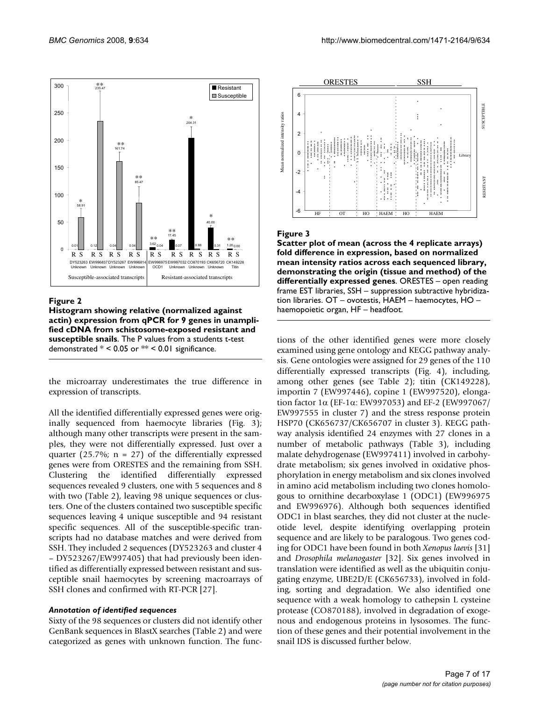

#### Figure 2

**Histogram showing relative (normalized against actin) expression from qPCR for 9 genes in unamplified cDNA from schistosome-exposed resistant and susceptible snails**. The P values from a students t-test demonstrated  $* < 0.05$  or  $** < 0.01$  significance.

the microarray underestimates the true difference in expression of transcripts.

All the identified differentially expressed genes were originally sequenced from haemocyte libraries (Fig. 3); although many other transcripts were present in the samples, they were not differentially expressed. Just over a quarter (25.7%;  $n = 27$ ) of the differentially expressed genes were from ORESTES and the remaining from SSH. Clustering the identified differentially expressed sequences revealed 9 clusters, one with 5 sequences and 8 with two (Table 2), leaving 98 unique sequences or clusters. One of the clusters contained two susceptible specific sequences leaving 4 unique susceptible and 94 resistant specific sequences. All of the susceptible-specific transcripts had no database matches and were derived from SSH. They included 2 sequences (DY523263 and cluster 4 – DY523267/EW997405) that had previously been identified as differentially expressed between resistant and susceptible snail haemocytes by screening macroarrays of SSH clones and confirmed with RT-PCR [27].

#### *Annotation of identified sequences*

Sixty of the 98 sequences or clusters did not identify other GenBank sequences in BlastX searches (Table 2) and were categorized as genes with unknown function. The func-



#### Figure 3

**Scatter plot of mean (across the 4 replicate arrays) fold difference in expression, based on normalized mean intensity ratios across each sequenced library, demonstrating the origin (tissue and method) of the differentially expressed genes**. ORESTES – open reading frame EST libraries, SSH – suppression subtractive hybridization libraries. OT – ovotestis, HAEM – haemocytes, HO – haemopoietic organ, HF – headfoot.

tions of the other identified genes were more closely examined using gene ontology and KEGG pathway analysis. Gene ontologies were assigned for 29 genes of the 110 differentially expressed transcripts (Fig. 4), including, among other genes (see Table 2); titin (CK149228), importin 7 (EW997446), copine 1 (EW997520), elongation factor 1α (EF-1α: EW997053) and EF-2 (EW997067/ EW997555 in cluster 7) and the stress response protein HSP70 (CK656737/CK656707 in cluster 3). KEGG pathway analysis identified 24 enzymes with 27 clones in a number of metabolic pathways (Table 3), including malate dehydrogenase (EW997411) involved in carbohydrate metabolism; six genes involved in oxidative phosphorylation in energy metabolism and six clones involved in amino acid metabolism including two clones homologous to ornithine decarboxylase 1 (ODC1) (EW996975 and EW996976). Although both sequences identified ODC1 in blast searches, they did not cluster at the nucleotide level, despite identifying overlapping protein sequence and are likely to be paralogous. Two genes coding for ODC1 have been found in both *Xenopus laevis* [31] and *Drosophila melanogaster* [\[32](#page-15-1)]. Six genes involved in translation were identified as well as the ubiquitin conjugating enzyme, UBE2D/E (CK656733), involved in folding, sorting and degradation. We also identified one sequence with a weak homology to cathepsin L cysteine protease (CO870188), involved in degradation of exogenous and endogenous proteins in lysosomes. The function of these genes and their potential involvement in the snail IDS is discussed further below.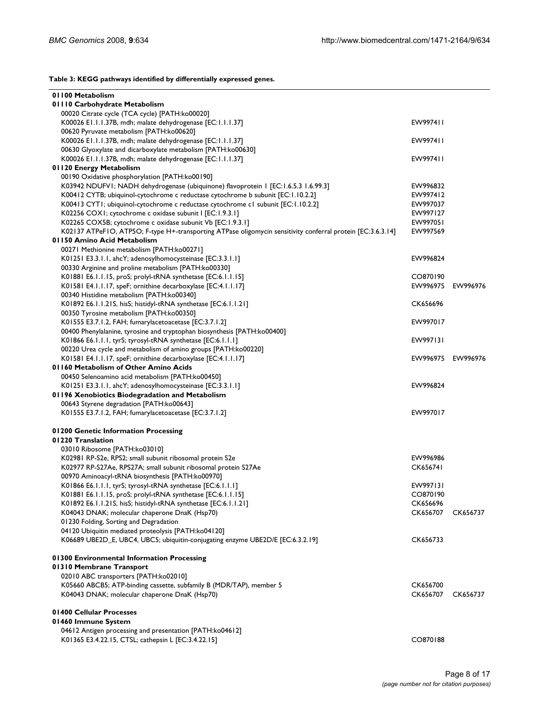**Table 3: KEGG pathways identified by differentially expressed genes.**

| 01100 Metabolism                                                                                            |                   |          |
|-------------------------------------------------------------------------------------------------------------|-------------------|----------|
| 01110 Carbohydrate Metabolism                                                                               |                   |          |
| 00020 Citrate cycle (TCA cycle) [PATH:ko00020]                                                              |                   |          |
| K00026 E1.1.1.37B, mdh; malate dehydrogenase [EC:1.1.1.37]                                                  | EW997411          |          |
| 00620 Pyruvate metabolism [PATH:ko00620]                                                                    |                   |          |
| K00026 E1.1.1.37B, mdh; malate dehydrogenase [EC:1.1.1.37]                                                  | EW997411          |          |
| 00630 Glyoxylate and dicarboxylate metabolism [PATH:ko00630]                                                |                   |          |
| K00026 E1.1.1.37B, mdh; malate dehydrogenase [EC:1.1.1.37]                                                  | EW997411          |          |
| 01120 Energy Metabolism                                                                                     |                   |          |
| 00190 Oxidative phosphorylation [PATH:ko00190]                                                              |                   |          |
| K03942 NDUFV1; NADH dehydrogenase (ubiquinone) flavoprotein 1 [EC:1.6.5.3 1.6.99.3]                         | EW996832          |          |
| K00412 CYTB; ubiquinol-cytochrome c reductase cytochrome b subunit [EC:1.10.2.2]                            | EW997412          |          |
| K00413 CYT1; ubiquinol-cytochrome c reductase cytochrome c1 subunit [EC:1.10.2.2]                           | EW997037          |          |
| K02256 COXI; cytochrome c oxidase subunit I [EC:1.9.3.1]                                                    | EW997127          |          |
| K02265 COX5B; cytochrome c oxidase subunit Vb [EC:1.9.3.1]                                                  | EW997051          |          |
| K02137 ATPeF1O, ATP5O; F-type H+-transporting ATPase oligomycin sensitivity conferral protein [EC:3.6.3.14] | EW997569          |          |
| 01150 Amino Acid Metabolism                                                                                 |                   |          |
| 00271 Methionine metabolism [PATH:ko00271]                                                                  |                   |          |
| K01251 E3.3.1.1, ahcY; adenosylhomocysteinase [EC:3.3.1.1]                                                  | EW996824          |          |
| 00330 Arginine and proline metabolism [PATH:ko00330]                                                        |                   |          |
| K01881 E6.1.1.15, proS; prolyl-tRNA synthetase [EC:6.1.1.15]                                                | CO870190          |          |
| K01581 E4.1.1.17, speF; ornithine decarboxylase [EC:4.1.1.17]                                               | EW996975          | EW996976 |
| 00340 Histidine metabolism [PATH:ko00340]                                                                   |                   |          |
| K01892 E6.1.1.21S, hisS; histidyl-tRNA synthetase [EC:6.1.1.21]                                             | CK656696          |          |
| 00350 Tyrosine metabolism [PATH:ko00350]                                                                    |                   |          |
| K01555 E3.7.1.2, FAH; fumarylacetoacetase [EC:3.7.1.2]                                                      | EW997017          |          |
| 00400 Phenylalanine, tyrosine and tryptophan biosynthesis [PATH:ko00400]                                    |                   |          |
| K01866 E6.1.1.1, tyrS; tyrosyl-tRNA synthetase [EC:6.1.1.1]                                                 | EW997131          |          |
| 00220 Urea cycle and metabolism of amino groups [PATH:ko00220]                                              |                   |          |
| K01581 E4.1.1.17, speF; ornithine decarboxylase [EC:4.1.1.17]                                               | EW996975 EW996976 |          |
| 01160 Metabolism of Other Amino Acids                                                                       |                   |          |
| 00450 Selenoamino acid metabolism [PATH:ko00450]                                                            |                   |          |
| K01251 E3.3.1.1, ahcY; adenosylhomocysteinase [EC:3.3.1.1]                                                  | EW996824          |          |
| 01196 Xenobiotics Biodegradation and Metabolism                                                             |                   |          |
| 00643 Styrene degradation [PATH:ko00643]                                                                    |                   |          |
| K01555 E3.7.1.2, FAH; fumarylacetoacetase [EC:3.7.1.2]                                                      | EW997017          |          |
| 01200 Genetic Information Processing                                                                        |                   |          |
| 01220 Translation                                                                                           |                   |          |
| 03010 Ribosome [PATH:ko03010]                                                                               |                   |          |
| K02981 RP-S2e, RPS2; small subunit ribosomal protein S2e                                                    | EW996986          |          |
| K02977 RP-S27Ae, RPS27A; small subunit ribosomal protein S27Ae                                              | CK656741          |          |
| 00970 Aminoacyl-tRNA biosynthesis [PATH:ko00970]                                                            |                   |          |
| K01866 E6.1.1.1, tyrS; tyrosyl-tRNA synthetase [EC:6.1.1.1]                                                 | EW997131          |          |
| K01881 E6.1.1.15, proS; prolyl-tRNA synthetase [EC:6.1.1.15]                                                | CO870190          |          |
| K01892 E6.1.1.21S, hisS; histidyl-tRNA synthetase [EC:6.1.1.21]                                             | CK656696          |          |
| K04043 DNAK; molecular chaperone DnaK (Hsp70)                                                               | CK656707          | CK656737 |
| 01230 Folding, Sorting and Degradation                                                                      |                   |          |
| 04120 Ubiquitin mediated proteolysis [PATH:ko04120]                                                         |                   |          |
| K06689 UBE2D_E, UBC4, UBC5; ubiquitin-conjugating enzyme UBE2D/E [EC:6.3.2.19]                              | CK656733          |          |
|                                                                                                             |                   |          |
| 01300 Environmental Information Processing                                                                  |                   |          |
| 01310 Membrane Transport                                                                                    |                   |          |
| 02010 ABC transporters [PATH:ko02010]                                                                       |                   |          |
| K05660 ABCB5; ATP-binding cassette, subfamily B (MDR/TAP), member 5                                         | CK656700          |          |
| K04043 DNAK; molecular chaperone DnaK (Hsp70)                                                               | CK656707          | CK656737 |
| 01400 Cellular Processes                                                                                    |                   |          |
| 01460 Immune System                                                                                         |                   |          |
| 04612 Antigen processing and presentation [PATH:ko04612]                                                    |                   |          |
| K01365 E3.4.22.15, CTSL; cathepsin L [EC:3.4.22.15]                                                         | CO870188          |          |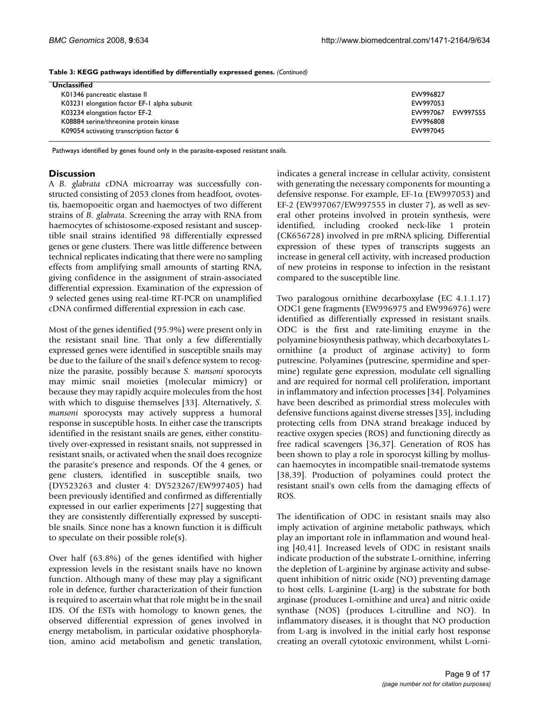| Unclassified                                |          |          |
|---------------------------------------------|----------|----------|
| K01346 pancreatic elastase II               | EW996827 |          |
| K03231 elongation factor EF-1 alpha subunit | EW997053 |          |
| K03234 elongation factor EF-2               | EW997067 | EW997555 |
| K08884 serine/threonine protein kinase      | EW996808 |          |
| K09054 activating transcription factor 6    | EW997045 |          |

**Table 3: KEGG pathways identified by differentially expressed genes.** *(Continued)*

Pathways identified by genes found only in the parasite-exposed resistant snails.

#### **Discussion**

A *B. glabrata* cDNA microarray was successfully constructed consisting of 2053 clones from headfoot, ovotestis, haemopoeitic organ and haemoctyes of two different strains of *B. glabrata*. Screening the array with RNA from haemocytes of schistosome-exposed resistant and susceptible snail strains identified 98 differentially expressed genes or gene clusters. There was little difference between technical replicates indicating that there were no sampling effects from amplifying small amounts of starting RNA, giving confidence in the assignment of strain-associated differential expression. Examination of the expression of 9 selected genes using real-time RT-PCR on unamplified cDNA confirmed differential expression in each case.

Most of the genes identified (95.9%) were present only in the resistant snail line. That only a few differentially expressed genes were identified in susceptible snails may be due to the failure of the snail's defence system to recognize the parasite, possibly because *S. mansoni* sporocyts may mimic snail moieties (molecular mimicry) or because they may rapidly acquire molecules from the host with which to disguise themselves [33]. Alternatively, *S. mansoni* sporocysts may actively suppress a humoral response in susceptible hosts. In either case the transcripts identified in the resistant snails are genes, either constitutively over-expressed in resistant snails, not suppressed in resistant snails, or activated when the snail does recognize the parasite's presence and responds. Of the 4 genes, or gene clusters, identified in susceptible snails, two (DY523263 and cluster 4: DY523267/EW997405) had been previously identified and confirmed as differentially expressed in our earlier experiments [27] suggesting that they are consistently differentially expressed by susceptible snails. Since none has a known function it is difficult to speculate on their possible role(s).

Over half (63.8%) of the genes identified with higher expression levels in the resistant snails have no known function. Although many of these may play a significant role in defence, further characterization of their function is required to ascertain what that role might be in the snail IDS. Of the ESTs with homology to known genes, the observed differential expression of genes involved in energy metabolism, in particular oxidative phosphorylation, amino acid metabolism and genetic translation,

indicates a general increase in cellular activity, consistent with generating the necessary components for mounting a defensive response. For example,  $EF-1\alpha$  (EW997053) and EF-2 (EW997067/EW997555 in cluster 7), as well as several other proteins involved in protein synthesis, were identified, including crooked neck-like 1 protein (CK656728) involved in pre mRNA splicing. Differential expression of these types of transcripts suggests an increase in general cell activity, with increased production of new proteins in response to infection in the resistant compared to the susceptible line.

Two paralogous ornithine decarboxylase (EC 4.1.1.17) ODC1 gene fragments (EW996975 and EW996976) were identified as differentially expressed in resistant snails. ODC is the first and rate-limiting enzyme in the polyamine biosynthesis pathway, which decarboxylates Lornithine (a product of arginase activity) to form putrescine. Polyamines (putrescine, spermidine and spermine) regulate gene expression, modulate cell signalling and are required for normal cell proliferation, important in inflammatory and infection processes [34]. Polyamines have been described as primordial stress molecules with defensive functions against diverse stresses [35], including protecting cells from DNA strand breakage induced by reactive oxygen species (ROS) and functioning directly as free radical scavengers [36,37]. Generation of ROS has been shown to play a role in sporocyst killing by molluscan haemocytes in incompatible snail-trematode systems [[38](#page-15-2),39]. Production of polyamines could protect the resistant snail's own cells from the damaging effects of ROS.

The identification of ODC in resistant snails may also imply activation of arginine metabolic pathways, which play an important role in inflammation and wound healing [40,41]. Increased levels of ODC in resistant snails indicate production of the substrate L-ornithine, inferring the depletion of L-arginine by arginase activity and subsequent inhibition of nitric oxide (NO) preventing damage to host cells. L-arginine (L-arg) is the substrate for both arginase (produces L-ornithine and urea) and nitric oxide synthase (NOS) (produces L-citrulline and NO). In inflammatory diseases, it is thought that NO production from L-arg is involved in the initial early host response creating an overall cytotoxic environment, whilst L-orni-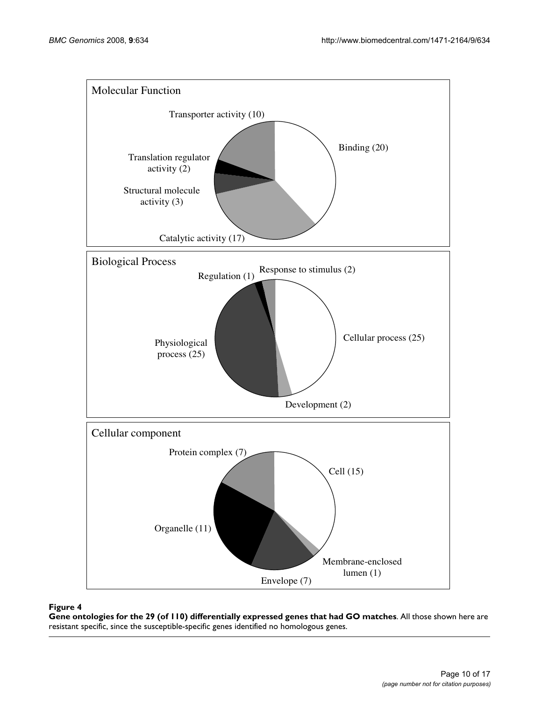

### **Figure 4 Figure 4** *Figure 4* **<b>F**

**Gene ontologies for the 29 (of 110) differentially expressed genes that had GO matches**. All those shown here are resistant specific, since the susceptible-specific genes identified no homologous genes.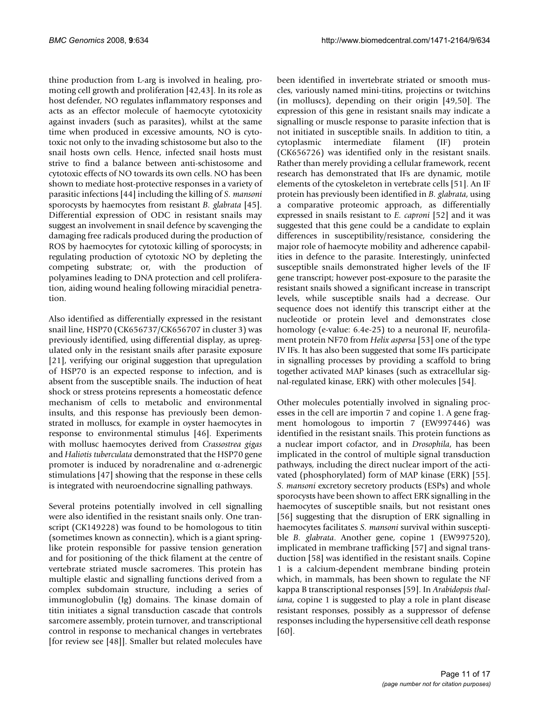thine production from L-arg is involved in healing, promoting cell growth and proliferation [42,43]. In its role as host defender, NO regulates inflammatory responses and acts as an effector molecule of haemocyte cytotoxicity against invaders (such as parasites), whilst at the same time when produced in excessive amounts, NO is cytotoxic not only to the invading schistosome but also to the snail hosts own cells. Hence, infected snail hosts must strive to find a balance between anti-schistosome and cytotoxic effects of NO towards its own cells. NO has been shown to mediate host-protective responses in a variety of parasitic infections [44] including the killing of *S. mansoni* sporocysts by haemocytes from resistant *B. glabrata* [\[45](#page-15-3)]. Differential expression of ODC in resistant snails may suggest an involvement in snail defence by scavenging the damaging free radicals produced during the production of ROS by haemocytes for cytotoxic killing of sporocysts; in regulating production of cytotoxic NO by depleting the competing substrate; or, with the production of polyamines leading to DNA protection and cell proliferation, aiding wound healing following miracidial penetration.

Also identified as differentially expressed in the resistant snail line, HSP70 (CK656737/CK656707 in cluster 3) was previously identified, using differential display, as upregulated only in the resistant snails after parasite exposure [21], verifying our original suggestion that upregulation of HSP70 is an expected response to infection, and is absent from the susceptible snails. The induction of heat shock or stress proteins represents a homeostatic defence mechanism of cells to metabolic and environmental insults, and this response has previously been demonstrated in molluscs, for example in oyster haemocytes in response to environmental stimulus [46]. Experiments with mollusc haemocytes derived from *Crassostrea gigas* and *Haliotis tuberculata* demonstrated that the HSP70 gene promoter is induced by noradrenaline and α-adrenergic stimulations [47] showing that the response in these cells is integrated with neuroendocrine signalling pathways.

Several proteins potentially involved in cell signalling were also identified in the resistant snails only. One transcript (CK149228) was found to be homologous to titin (sometimes known as connectin), which is a giant springlike protein responsible for passive tension generation and for positioning of the thick filament at the centre of vertebrate striated muscle sacromeres. This protein has multiple elastic and signalling functions derived from a complex subdomain structure, including a series of immunoglobulin (Ig) domains. The kinase domain of titin initiates a signal transduction cascade that controls sarcomere assembly, protein turnover, and transcriptional control in response to mechanical changes in vertebrates [for review see [48]]. Smaller but related molecules have

been identified in invertebrate striated or smooth muscles, variously named mini-titins, projectins or twitchins (in molluscs), depending on their origin [49,50]. The expression of this gene in resistant snails may indicate a signalling or muscle response to parasite infection that is not initiated in susceptible snails. In addition to titin, a cytoplasmic intermediate filament (IF) protein (CK656726) was identified only in the resistant snails. Rather than merely providing a cellular framework, recent research has demonstrated that IFs are dynamic, motile elements of the cytoskeleton in vertebrate cells [51]. An IF protein has previously been identified in *B. glabrata*, using a comparative proteomic approach, as differentially expressed in snails resistant to *E. caproni* [52] and it was suggested that this gene could be a candidate to explain differences in susceptibility/resistance, considering the major role of haemocyte mobility and adherence capabilities in defence to the parasite. Interestingly, uninfected susceptible snails demonstrated higher levels of the IF gene transcript; however post-exposure to the parasite the resistant snails showed a significant increase in transcript levels, while susceptible snails had a decrease. Our sequence does not identify this transcript either at the nucleotide or protein level and demonstrates close homology (e-value: 6.4e-25) to a neuronal IF, neurofilament protein NF70 from *Helix aspersa* [\[53](#page-15-4)] one of the type IV IFs. It has also been suggested that some IFs participate in signalling processes by providing a scaffold to bring together activated MAP kinases (such as extracellular signal-regulated kinase, ERK) with other molecules [54].

Other molecules potentially involved in signaling processes in the cell are importin 7 and copine 1. A gene fragment homologous to importin 7 (EW997446) was identified in the resistant snails. This protein functions as a nuclear import cofactor, and in *Drosophila*, has been implicated in the control of multiple signal transduction pathways, including the direct nuclear import of the activated (phosphorylated) form of MAP kinase (ERK) [55]. *S. mansoni* excretory secretory products (ESPs) and whole sporocysts have been shown to affect ERK signalling in the haemocytes of susceptible snails, but not resistant ones [[56](#page-15-5)] suggesting that the disruption of ERK signalling in haemocytes facilitates *S. mansoni* survival within susceptible *B. glabrata*. Another gene, copine 1 (EW997520), implicated in membrane trafficking [57] and signal transduction [58] was identified in the resistant snails. Copine 1 is a calcium-dependent membrane binding protein which, in mammals, has been shown to regulate the NF kappa B transcriptional responses [59]. In *Arabidopsis thaliana*, copine 1 is suggested to play a role in plant disease resistant responses, possibly as a suppressor of defense responses including the hypersensitive cell death response [60].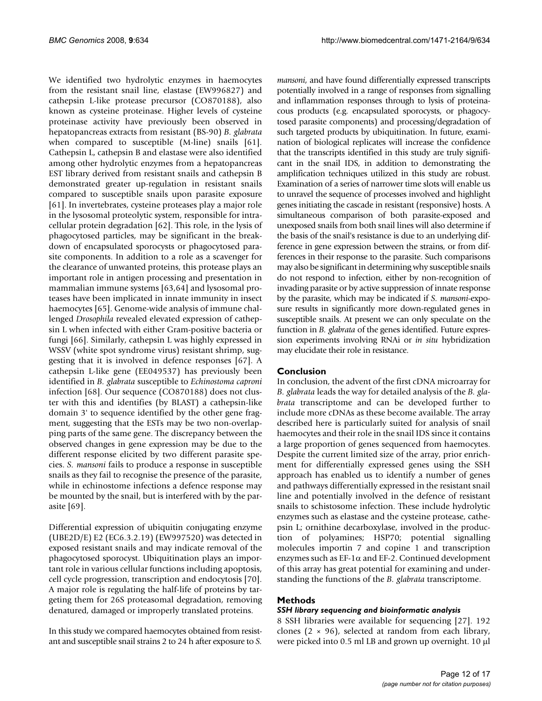We identified two hydrolytic enzymes in haemocytes from the resistant snail line, elastase (EW996827) and cathepsin L-like protease precursor (CO870188), also known as cysteine proteinase. Higher levels of cysteine proteinase activity have previously been observed in hepatopancreas extracts from resistant (BS-90) *B. glabrata* when compared to susceptible (M-line) snails [\[61](#page-15-6)]. Cathepsin L, cathepsin B and elastase were also identified among other hydrolytic enzymes from a hepatopancreas EST library derived from resistant snails and cathepsin B demonstrated greater up-regulation in resistant snails compared to susceptible snails upon parasite exposure [[61](#page-15-6)]. In invertebrates, cysteine proteases play a major role in the lysosomal proteolytic system, responsible for intracellular protein degradation [62]. This role, in the lysis of phagocytosed particles, may be significant in the breakdown of encapsulated sporocysts or phagocytosed parasite components. In addition to a role as a scavenger for the clearance of unwanted proteins, this protease plays an important role in antigen processing and presentation in mammalian immune systems [63,64] and lysosomal proteases have been implicated in innate immunity in insect haemocytes [65]. Genome-wide analysis of immune challenged *Drosophila* revealed elevated expression of cathepsin L when infected with either Gram-positive bacteria or fungi [66]. Similarly, cathepsin L was highly expressed in WSSV (white spot syndrome virus) resistant shrimp, suggesting that it is involved in defence responses [67]. A cathepsin L-like gene (EE049537) has previously been identified in *B. glabrata* susceptible to *Echinostoma caproni* infection [68]. Our sequence (CO870188) does not cluster with this and identifies (by BLAST) a cathepsin-like domain 3' to sequence identified by the other gene fragment, suggesting that the ESTs may be two non-overlapping parts of the same gene. The discrepancy between the observed changes in gene expression may be due to the different response elicited by two different parasite species. *S. mansoni* fails to produce a response in susceptible snails as they fail to recognise the presence of the parasite, while in echinostome infections a defence response may be mounted by the snail, but is interfered with by the parasite [69].

Differential expression of ubiquitin conjugating enzyme (UBE2D/E) E2 (EC6.3.2.19) (EW997520) was detected in exposed resistant snails and may indicate removal of the phagocytosed sporocyst. Ubiquitination plays an important role in various cellular functions including apoptosis, cell cycle progression, transcription and endocytosis [70]. A major role is regulating the half-life of proteins by targeting them for 26S proteasomal degradation, removing denatured, damaged or improperly translated proteins.

In this study we compared haemocytes obtained from resistant and susceptible snail strains 2 to 24 h after exposure to *S.*

*mansoni*, and have found differentially expressed transcripts potentially involved in a range of responses from signalling and inflammation responses through to lysis of proteinacous products (e.g. encapsulated sporocysts, or phagocytosed parasite components) and processing/degradation of such targeted products by ubiquitination. In future, examination of biological replicates will increase the confidence that the transcripts identified in this study are truly significant in the snail IDS, in addition to demonstrating the amplification techniques utilized in this study are robust. Examination of a series of narrower time slots will enable us to unravel the sequence of processes involved and highlight genes initiating the cascade in resistant (responsive) hosts. A simultaneous comparison of both parasite-exposed and unexposed snails from both snail lines will also determine if the basis of the snail's resistance is due to an underlying difference in gene expression between the strains, or from differences in their response to the parasite. Such comparisons may also be significant in determining why susceptible snails do not respond to infection, either by non-recognition of invading parasite or by active suppression of innate response by the parasite, which may be indicated if *S. mansoni*-exposure results in significantly more down-regulated genes in susceptible snails. At present we can only speculate on the function in *B. glabrata* of the genes identified. Future expression experiments involving RNAi or *in situ* hybridization may elucidate their role in resistance.

#### **Conclusion**

In conclusion, the advent of the first cDNA microarray for *B. glabrata* leads the way for detailed analysis of the *B. glabrata* transcriptome and can be developed further to include more cDNAs as these become available. The array described here is particularly suited for analysis of snail haemocytes and their role in the snail IDS since it contains a large proportion of genes sequenced from haemocytes. Despite the current limited size of the array, prior enrichment for differentially expressed genes using the SSH approach has enabled us to identify a number of genes and pathways differentially expressed in the resistant snail line and potentially involved in the defence of resistant snails to schistosome infection. These include hydrolytic enzymes such as elastase and the cysteine protease, cathepsin L; ornithine decarboxylase, involved in the production of polyamines; HSP70; potential signalling molecules importin 7 and copine 1 and transcription enzymes such as EF-1α and EF-2. Continued development of this array has great potential for examining and understanding the functions of the *B. glabrata* transcriptome.

#### **Methods**

#### *SSH library sequencing and bioinformatic analysis*

8 SSH libraries were available for sequencing [27]. 192 clones ( $2 \times 96$ ), selected at random from each library, were picked into 0.5 ml LB and grown up overnight. 10 μl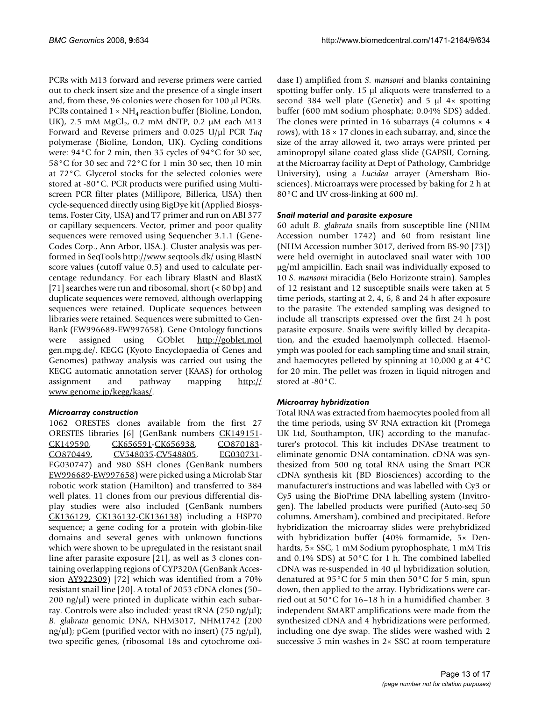PCRs with M13 forward and reverse primers were carried out to check insert size and the presence of a single insert and, from these, 96 colonies were chosen for 100 μl PCRs. PCRs contained  $1 \times NH_A$  reaction buffer (Bioline, London, UK), 2.5 mM  $MgCl<sub>2</sub>$ , 0.2 mM dNTP, 0.2  $\mu$ M each M13 Forward and Reverse primers and 0.025 U/μl PCR *Taq* polymerase (Bioline, London, UK). Cycling conditions were: 94°C for 2 min, then 35 cycles of 94°C for 30 sec, 58°C for 30 sec and 72°C for 1 min 30 sec, then 10 min at 72°C. Glycerol stocks for the selected colonies were stored at -80°C. PCR products were purified using Multiscreen PCR filter plates (Millipore, Billerica, USA) then cycle-sequenced directly using BigDye kit (Applied Biosystems, Foster City, USA) and T7 primer and run on ABI 377 or capillary sequencers. Vector, primer and poor quality sequences were removed using Sequencher 3.1.1 (Gene-Codes Corp., Ann Arbor, USA.). Cluster analysis was performed in SeqTools<http://www.seqtools.dk/>using BlastN score values (cutoff value 0.5) and used to calculate percentage redundancy. For each library BlastN and BlastX [71] searches were run and ribosomal, short (< 80 bp) and duplicate sequences were removed, although overlapping sequences were retained. Duplicate sequences between libraries were retained. Sequences were submitted to Gen-Bank [\(EW996689-](http://www.ncbi.nih.gov/entrez/query.fcgi?db=Nucleotide&cmd=search&term=EW996689)[EW997658\)](http://www.ncbi.nih.gov/entrez/query.fcgi?db=Nucleotide&cmd=search&term=EW997658). Gene Ontology functions were assigned using GOblet [http://goblet.mol](http://goblet.molgen.mpg.de/) [gen.mpg.de/.](http://goblet.molgen.mpg.de/) KEGG (Kyoto Encyclopaedia of Genes and Genomes) pathway analysis was carried out using the KEGG automatic annotation server (KAAS) for ortholog assignment and pathway mapping [http://](http://www.genome.jp/kegg/kaas/) [www.genome.jp/kegg/kaas/.](http://www.genome.jp/kegg/kaas/)

#### *Microarray construction*

1062 ORESTES clones available from the first 27 ORESTES libraries [6] (GenBank numbers [CK149151](http://www.ncbi.nih.gov/entrez/query.fcgi?db=Nucleotide&cmd=search&term=CK149151)- [CK149590](http://www.ncbi.nih.gov/entrez/query.fcgi?db=Nucleotide&cmd=search&term=CK149590), [CK656591-](http://www.ncbi.nih.gov/entrez/query.fcgi?db=Nucleotide&cmd=search&term=CK656591)[CK656938,](http://www.ncbi.nih.gov/entrez/query.fcgi?db=Nucleotide&cmd=search&term=CK656938) [CO870183](http://www.ncbi.nih.gov/entrez/query.fcgi?db=Nucleotide&cmd=search&term=CO870183)-[CO870449](http://www.ncbi.nih.gov/entrez/query.fcgi?db=Nucleotide&cmd=search&term=CO870449), [CV548035-](http://www.ncbi.nih.gov/entrez/query.fcgi?db=Nucleotide&cmd=search&term=CV548035)[CV548805,](http://www.ncbi.nih.gov/entrez/query.fcgi?db=Nucleotide&cmd=search&term=CV548805) [EG030731](http://www.ncbi.nih.gov/entrez/query.fcgi?db=Nucleotide&cmd=search&term=EG030731)-[EG030747](http://www.ncbi.nih.gov/entrez/query.fcgi?db=Nucleotide&cmd=search&term=EG030747)) and 980 SSH clones (GenBank numbers [EW996689](http://www.ncbi.nih.gov/entrez/query.fcgi?db=Nucleotide&cmd=search&term=EW996689)[-EW997658\)](http://www.ncbi.nih.gov/entrez/query.fcgi?db=Nucleotide&cmd=search&term=EW997658) were picked using a Microlab Star robotic work station (Hamilton) and transferred to 384 well plates. 11 clones from our previous differential display studies were also included (GenBank numbers [CK136129](http://www.ncbi.nih.gov/entrez/query.fcgi?db=Nucleotide&cmd=search&term=CK136129), [CK136132-](http://www.ncbi.nih.gov/entrez/query.fcgi?db=Nucleotide&cmd=search&term=CK136132)[CK136138\)](http://www.ncbi.nih.gov/entrez/query.fcgi?db=Nucleotide&cmd=search&term=CK136138) including a HSP70 sequence; a gene coding for a protein with globin-like domains and several genes with unknown functions which were shown to be upregulated in the resistant snail line after parasite exposure [21], as well as 3 clones containing overlapping regions of CYP320A (GenBank Accession [AY922309](http://www.ncbi.nih.gov/entrez/query.fcgi?db=Nucleotide&cmd=search&term=AY922309)) [72] which was identified from a 70% resistant snail line [20]. A total of 2053 cDNA clones (50–  $200 \text{ ng/µl}$ ) were printed in duplicate within each subarray. Controls were also included: yeast tRNA (250 ng/μl); *B. glabrata* genomic DNA, NHM3017, NHM1742 (200 ng/ $\mu$ l); pGem (purified vector with no insert) (75 ng/ $\mu$ l), two specific genes, (ribosomal 18s and cytochrome oxidase I) amplified from *S. mansoni* and blanks containing spotting buffer only. 15 μl aliquots were transferred to a second 384 well plate (Genetix) and 5 μl 4× spotting buffer (600 mM sodium phosphate; 0.04% SDS) added. The clones were printed in 16 subarrays (4 columns  $\times$  4 rows), with  $18 \times 17$  clones in each subarray, and, since the size of the array allowed it, two arrays were printed per aminopropyl silane coated glass slide (GAPSII, Corning, at the Microarray facility at Dept of Pathology, Cambridge University), using a *Lucidea* arrayer (Amersham Biosciences). Microarrays were processed by baking for 2 h at 80°C and UV cross-linking at 600 mJ.

#### *Snail material and parasite exposure*

60 adult *B. glabrata* snails from susceptible line (NHM Accession number 1742) and 60 from resistant line (NHM Accession number 3017, derived from BS-90 [73]) were held overnight in autoclaved snail water with 100 μg/ml ampicillin. Each snail was individually exposed to 10 *S. mansoni* miracidia (Belo Horizonte strain). Samples of 12 resistant and 12 susceptible snails were taken at 5 time periods, starting at 2, 4, 6, 8 and 24 h after exposure to the parasite. The extended sampling was designed to include all transcripts expressed over the first 24 h post parasite exposure. Snails were swiftly killed by decapitation, and the exuded haemolymph collected. Haemolymph was pooled for each sampling time and snail strain, and haemocytes pelleted by spinning at 10,000 g at 4°C for 20 min. The pellet was frozen in liquid nitrogen and stored at -80°C.

#### *Microarray hybridization*

Total RNA was extracted from haemocytes pooled from all the time periods, using SV RNA extraction kit (Promega UK Ltd, Southampton, UK) according to the manufacturer's protocol. This kit includes DNAse treatment to eliminate genomic DNA contamination. cDNA was synthesized from 500 ng total RNA using the Smart PCR cDNA synthesis kit (BD Biosciences) according to the manufacturer's instructions and was labelled with Cy3 or Cy5 using the BioPrime DNA labelling system (Invitrogen). The labelled products were purified (Auto-seq 50 columns, Amersham), combined and precipitated. Before hybridization the microarray slides were prehybridized with hybridization buffer (40% formamide, 5× Denhardts, 5× SSC, 1 mM Sodium pyrophosphate, 1 mM Tris and 0.1% SDS) at 50°C for 1 h. The combined labelled cDNA was re-suspended in 40 μl hybridization solution, denatured at 95°C for 5 min then 50°C for 5 min, spun down, then applied to the array. Hybridizations were carried out at 50°C for 16–18 h in a humidified chamber. 3 independent SMART amplifications were made from the synthesized cDNA and 4 hybridizations were performed, including one dye swap. The slides were washed with 2 successive 5 min washes in 2× SSC at room temperature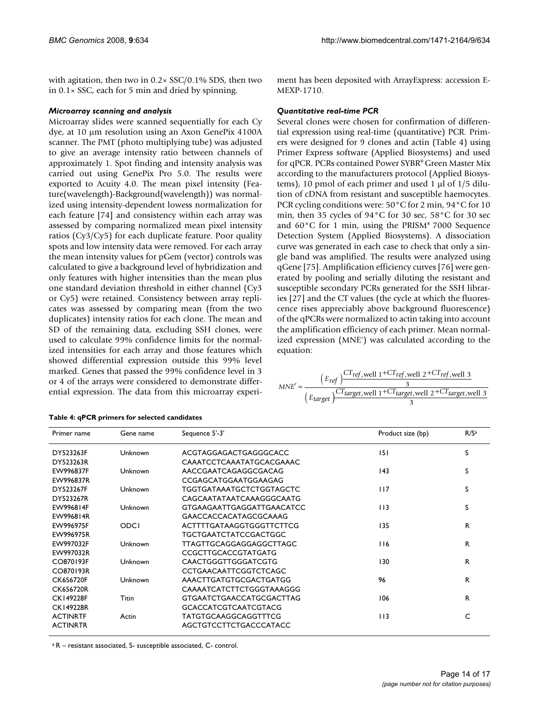with agitation, then two in 0.2× SSC/0.1% SDS, then two in  $0.1 \times$  SSC, each for 5 min and dried by spinning.

#### *Microarray scanning and analysis*

Microarray slides were scanned sequentially for each Cy dye, at 10 μm resolution using an Axon GenePix 4100A scanner. The PMT (photo multiplying tube) was adjusted to give an average intensity ratio between channels of approximately 1. Spot finding and intensity analysis was carried out using GenePix Pro 5.0. The results were exported to Acuity 4.0. The mean pixel intensity (Feature(wavelength)-Background(wavelength)) was normalized using intensity-dependent lowess normalization for each feature [74] and consistency within each array was assessed by comparing normalized mean pixel intensity ratios (Cy3/Cy5) for each duplicate feature. Poor quality spots and low intensity data were removed. For each array the mean intensity values for pGem (vector) controls was calculated to give a background level of hybridization and only features with higher intensities than the mean plus one standard deviation threshold in either channel (Cy3 or Cy5) were retained. Consistency between array replicates was assessed by comparing mean (from the two duplicates) intensity ratios for each clone. The mean and SD of the remaining data, excluding SSH clones, were used to calculate 99% confidence limits for the normalized intensities for each array and those features which showed differential expression outside this 99% level marked. Genes that passed the 99% confidence level in 3 or 4 of the arrays were considered to demonstrate differential expression. The data from this microarray experi-

| Primer name      | Gene name    | Sequence 5'-3'                   | Product size (bp) | R/S <sup>a</sup> |
|------------------|--------------|----------------------------------|-------------------|------------------|
| DY523263F        | Unknown      | ACGTAGGAGACTGAGGGCACC            | 151               | S                |
| DY523263R        |              | CAAATCCTCAAATATGCACGAAAC         |                   |                  |
| EW996837F        | Unknown      | AACCGAATCAGAGGCGACAG             | 143               | S                |
| EW996837R        |              | CCGAGCATGGAATGGAAGAG             |                   |                  |
| DY523267F        | Unknown      | TGGTGATAAATGCTCTGGTAGCTC         | 117               | S                |
| DY523267R        |              | CAGCAATATAATCAAAGGGCAATG         |                   |                  |
| <b>FW996814F</b> | Unknown      | <b>GTGAAGAATTGAGGATTGAACATCC</b> | 113               | S                |
| EW996814R        |              | GAACCACCACATAGCGCAAAG            |                   |                  |
| <b>FW996975F</b> | ODCI         | ACTTTTGATAAGGTGGGTTCTTCG         | 135               | R                |
| EW996975R        |              | TGCTGAATCTATCCGACTGGC            |                   |                  |
| EW997032F        | Unknown      | TTAGTTGCAGGAGGAGGCTTAGC          | 116               | R.               |
| EW997032R        |              | CCGCTTGCACCGTATGATG              |                   |                  |
| CO870193F        | Unknown      | <b>CAACTGGGTTGGGATCGTG</b>       | 130               | R.               |
| CO870193R        |              | <b>CCTGAACAATTCGGTCTCAGC</b>     |                   |                  |
| <b>CK656720F</b> | Unknown      | AAACTTGATGTGCGACTGATGG           | 96                | R.               |
| <b>CK656720R</b> |              | CAAAATCATCTTCTGGGTAAAGGG         |                   |                  |
| <b>CK149228F</b> | <b>Titin</b> | <b>GTGAATCTGAACCATGCGACTTAG</b>  | 106               | R.               |
| <b>CK149228R</b> |              | <b>GCACCATCGTCAATCGTACG</b>      |                   |                  |
| <b>ACTINRTF</b>  | Actin        | TATGTGCAAGGCAGGTTTCG             | 113               | C                |
| <b>ACTINRTR</b>  |              | AGCTGTCCTTCTGACCCATACC           |                   |                  |

#### **Table 4: qPCR primers for selected candidates**

a R – resistant associated, S- susceptible associated, C- control.

ment has been deposited with ArrayExpress: accession E-MEXP-1710.

#### *Quantitative real-time PCR*

Several clones were chosen for confirmation of differential expression using real-time (quantitative) PCR. Primers were designed for 9 clones and actin (Table 4) using Primer Express software (Applied Biosystems) and used for qPCR. PCRs contained Power SYBR® Green Master Mix according to the manufacturers protocol (Applied Biosystems), 10 pmol of each primer and used 1 μl of 1/5 dilution of cDNA from resistant and susceptible haemocytes. PCR cycling conditions were: 50°C for 2 min, 94°C for 10 min, then 35 cycles of 94°C for 30 sec, 58°C for 30 sec and 60°C for 1 min, using the PRISM® 7000 Sequence Detection System (Applied Biosystems). A dissociation curve was generated in each case to check that only a single band was amplified. The results were analyzed using qGene [75]. Amplification efficiency curves [76] were generated by pooling and serially diluting the resistant and susceptible secondary PCRs generated for the SSH libraries [27] and the CT values (the cycle at which the fluorescence rises appreciably above background fluorescence) of the qPCRs were normalized to actin taking into account the amplification efficiency of each primer. Mean normalized expression (MNE') was calculated according to the equation:

| $MNE' =$ | $(E_{ref})^{\text{CT}ref, well 1+CT}$ ref, well 2+CT <sub>ref</sub> , well 3           |
|----------|----------------------------------------------------------------------------------------|
|          | $\left(E_{target}\right)^{CT}_{target, well 1+CT_{target, well 2}+CT_{target, well 3}$ |
|          |                                                                                        |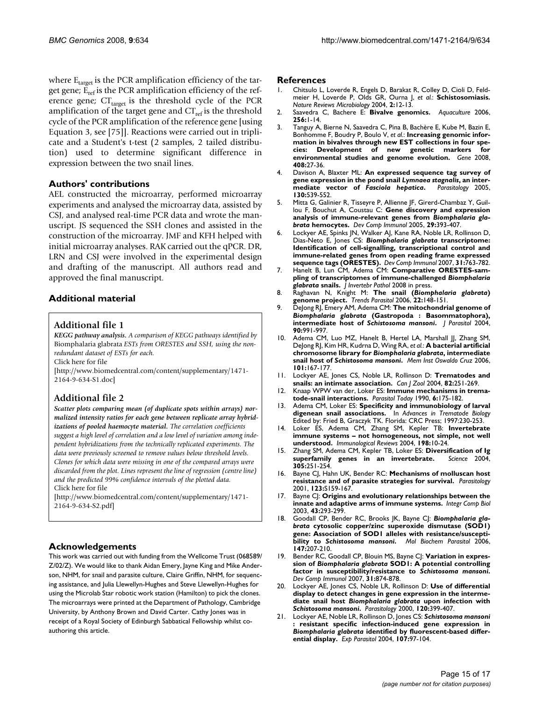where  $E_{\text{target}}$  is the PCR amplification efficiency of the target gene;  $\tilde{E}_{ref}$  is the PCR amplification efficiency of the reference gene;  $CT_{\text{target}}$  is the threshold cycle of the PCR amplification of the target gene and  $CT_{ref}$  is the threshold cycle of the PCR amplification of the reference gene [using Equation 3, see [75]]. Reactions were carried out in triplicate and a Student's t-test (2 samples, 2 tailed distribution) used to determine significant difference in expression between the two snail lines.

#### **Authors' contributions**

AEL constructed the microarray, performed microarray experiments and analysed the microarray data, assisted by CSJ, and analysed real-time PCR data and wrote the manuscript. JS sequenced the SSH clones and assisted in the construction of the microarray. JMF and KFH helped with initial microarray analyses. RAK carried out the qPCR. DR, LRN and CSJ were involved in the experimental design and drafting of the manuscript. All authors read and approved the final manuscript.

#### **Additional material**

#### **Additional file 1**

*KEGG pathway analysis. A comparison of KEGG pathways identified by*  Biomphalaria glabrata *ESTs from ORESTES and SSH, using the nonredundant dataset of ESTs for each.*

Click here for file

[\[http://www.biomedcentral.com/content/supplementary/1471-](http://www.biomedcentral.com/content/supplementary/1471-2164-9-634-S1.doc) 2164-9-634-S1.doc]

#### **Additional file 2**

*Scatter plots comparing mean (of duplicate spots within arrays) normalized intensity ratios for each gene between replicate array hybridizations of pooled haemocyte material. The correlation coefficients suggest a high level of correlation and a low level of variation among independent hybridizations from the technically replicated experiments. The data were previously screened to remove values below threshold levels. Clones for which data were missing in one of the compared arrays were discarded from the plot. Lines represent the line of regression (centre line) and the predicted 99% confidence intervals of the plotted data.* Click here for file

[\[http://www.biomedcentral.com/content/supplementary/1471-](http://www.biomedcentral.com/content/supplementary/1471-2164-9-634-S2.pdf) 2164-9-634-S2.pdf]

### **Acknowledgements**

This work was carried out with funding from the Wellcome Trust (068589/ Z/02/Z). We would like to thank Aidan Emery, Jayne King and Mike Anderson, NHM, for snail and parasite culture, Claire Griffin, NHM, for sequencing assistance, and Julia Llewellyn-Hughes and Steve Llewellyn-Hughes for using the Microlab Star robotic work station (Hamilton) to pick the clones. The microarrays were printed at the Department of Pathology, Cambridge University, by Anthony Brown and David Carter. Cathy Jones was in receipt of a Royal Society of Edinburgh Sabbatical Fellowship whilst coauthoring this article.

#### **References**

- 1. Chitsulo L, Loverde R, Engels D, Barakat R, Colley D, Cioli D, Feldmeier H, Loverde P, Olds GR, Ourna J, *et al.*: **[Schistosomiasis.](http://www.ncbi.nlm.nih.gov/entrez/query.fcgi?cmd=Retrieve&db=PubMed&dopt=Abstract&list_uids=15035004)** *Nature Reviews Microbiology* 2004, **2:**12-13.
- 2. Saavedra C, Bachere E: **Bivalve genomics.** *Aquaculture* 2006, **256:**1-14.
- 3. Tanguy A, Bierne N, Saavedra C, Pina B, Bachère E, Kube M, Bazin E, Bonhomme F, Boudry P, Boulo V, *et al.*: **[Increasing genomic infor](http://www.ncbi.nlm.nih.gov/entrez/query.fcgi?cmd=Retrieve&db=PubMed&dopt=Abstract&list_uids=18054177)**mation in bivalves through new EST collections in four spe-<br>cies: Development of new genetic markers for **cies: Development of new genetic markers for [environmental studies and genome evolution.](http://www.ncbi.nlm.nih.gov/entrez/query.fcgi?cmd=Retrieve&db=PubMed&dopt=Abstract&list_uids=18054177)** *Gene* 2008, **408:**27-36.
- 4. Davison A, Blaxter ML: **An expressed sequence tag survey of gene expression in the pond snail** *Lymnaea stagnalis***, an intermediate vector of** *Fasciola hepatica***[.](http://www.ncbi.nlm.nih.gov/entrez/query.fcgi?cmd=Retrieve&db=PubMed&dopt=Abstract&list_uids=15991497)** *Parasitology* 2005, **130:**539-552.
- 5. Mitta G, Galinier R, Tisseyre P, Allienne JF, Girerd-Chambaz Y, Guillou F, Bouchut A, Coustau C: **Gene discovery and expression analysis of immune-relevant genes from** *Biomphalaria glabrata* **[hemocytes.](http://www.ncbi.nlm.nih.gov/entrez/query.fcgi?cmd=Retrieve&db=PubMed&dopt=Abstract&list_uids=15707661)** *Dev Comp Immunol* 2005, **29:**393-407.
- 6. Lockyer AE, Spinks JN, Walker AJ, Kane RA, Noble LR, Rollinson D, Dias-Neto E, Jones CS: *Biomphalaria glabrata* **[transcriptome:](http://www.ncbi.nlm.nih.gov/entrez/query.fcgi?cmd=Retrieve&db=PubMed&dopt=Abstract&list_uids=17208299) [Identification of cell-signalling, transcriptional control and](http://www.ncbi.nlm.nih.gov/entrez/query.fcgi?cmd=Retrieve&db=PubMed&dopt=Abstract&list_uids=17208299) immune-related genes from open reading frame expressed [sequence tags \(ORESTES\).](http://www.ncbi.nlm.nih.gov/entrez/query.fcgi?cmd=Retrieve&db=PubMed&dopt=Abstract&list_uids=17208299)** *Dev Comp Immunol* 2007, **31:**763-782.
- <span id="page-14-0"></span>7. Hanelt B, Lun CM, Adema CM: **Comparative ORESTES-sampling of transcriptomes of immune-challenged** *Biomphalaria glabrata* **[snails.](http://www.ncbi.nlm.nih.gov/entrez/query.fcgi?cmd=Retrieve&db=PubMed&dopt=Abstract&list_uids=18590737)** *J Invertebr Pathol* 2008 in press.
- 8. Raghavan N, Knight M: **The snail (***Biomphalaria glabrata***[\)](http://www.ncbi.nlm.nih.gov/entrez/query.fcgi?cmd=Retrieve&db=PubMed&dopt=Abstract&list_uids=16497557) [genome project.](http://www.ncbi.nlm.nih.gov/entrez/query.fcgi?cmd=Retrieve&db=PubMed&dopt=Abstract&list_uids=16497557)** *Trends Parasitol* 2006, **22:**148-151.
- 9. DeJong RJ, Emery AM, Adema CM: **The mitochondrial genome of** *Biomphalaria glabrata* **(Gastropoda : Basommatophora), intermediate host of** *Schistosoma mansoni***[.](http://www.ncbi.nlm.nih.gov/entrez/query.fcgi?cmd=Retrieve&db=PubMed&dopt=Abstract&list_uids=15562597)** *J Parasitol* 2004, **90:**991-997.
- 10. Adema CM, Luo MZ, Hanelt B, Hertel LA, Marshall JJ, Zhang SM, DeJong RJ, Kim HR, Kudrna D, Wing RA, *et al.*: **A bacterial artificial chromosome library for** *Biomphalaria glabrata***, intermediate snail host of** *Schistosoma mansoni***[.](http://www.ncbi.nlm.nih.gov/entrez/query.fcgi?cmd=Retrieve&db=PubMed&dopt=Abstract&list_uids=17308766)** *Mem Inst Oswaldo Cruz* 2006, **101:**167-177.
- 11. Lockyer AE, Jones CS, Noble LR, Rollinson D: **Trematodes and snails: an intimate association.** *Can J Zool* 2004, **82:**251-269.
- 12. Knaap WPW van der, Loker ES: **[Immune mechanisms in trema](http://www.ncbi.nlm.nih.gov/entrez/query.fcgi?cmd=Retrieve&db=PubMed&dopt=Abstract&list_uids=15463334)[tode-snail interactions.](http://www.ncbi.nlm.nih.gov/entrez/query.fcgi?cmd=Retrieve&db=PubMed&dopt=Abstract&list_uids=15463334)** *Parasitol Today* 1990, **6:**175-182.
- 13. Adema CM, Loker ES: **Specificity and immunobiology of larval digenean snail associations.** In *Advances in Trematode Biology* Edited by: Fried B, Graczyk TK. Florida: CRC Press; 1997:230-253.
- 14. Loker ES, Adema CM, Zhang SM, Kepler TB: **[Invertebrate](http://www.ncbi.nlm.nih.gov/entrez/query.fcgi?cmd=Retrieve&db=PubMed&dopt=Abstract&list_uids=15199951) [immune systems – not homogeneous, not simple, not well](http://www.ncbi.nlm.nih.gov/entrez/query.fcgi?cmd=Retrieve&db=PubMed&dopt=Abstract&list_uids=15199951) [understood.](http://www.ncbi.nlm.nih.gov/entrez/query.fcgi?cmd=Retrieve&db=PubMed&dopt=Abstract&list_uids=15199951)** *Immunological Reviews* 2004, **198:**10-24.
- 15. Zhang SM, Adema CM, Kepler TB, Loker ES: **[Diversification of Ig](http://www.ncbi.nlm.nih.gov/entrez/query.fcgi?cmd=Retrieve&db=PubMed&dopt=Abstract&list_uids=15247481) [superfamily genes in an invertebrate.](http://www.ncbi.nlm.nih.gov/entrez/query.fcgi?cmd=Retrieve&db=PubMed&dopt=Abstract&list_uids=15247481)** *Science* 2004, **305:**251-254.
- 16. Bayne CJ, Hahn UK, Bender RC: **[Mechanisms of molluscan host](http://www.ncbi.nlm.nih.gov/entrez/query.fcgi?cmd=Retrieve&db=PubMed&dopt=Abstract&list_uids=11769280) [resistance and of parasite strategies for survival.](http://www.ncbi.nlm.nih.gov/entrez/query.fcgi?cmd=Retrieve&db=PubMed&dopt=Abstract&list_uids=11769280)** *Parasitology* 2001, **123:**S159-167.
- 17. Bayne CJ: **Origins and evolutionary relationships between the innate and adaptive arms of immune systems.** *Integr Comp Biol* 2003, **43:**293-299.
- 18. Goodall CP, Bender RC, Brooks JK, Bayne CJ: Biomphalaria gla*brata* **cytosolic copper/zinc superoxide dismutase (SOD1) gene: Association of SOD1 alleles with resistance/susceptibility to** *Schistosoma mansoni***[.](http://www.ncbi.nlm.nih.gov/entrez/query.fcgi?cmd=Retrieve&db=PubMed&dopt=Abstract&list_uids=16564582)** *Mol Biochem Parasitol* 2006, **147:**207-210.
- 19. Bender RC, Goodall CP, Blouin MS, Bayne CJ: **Variation in expression of** *Biomphalaria glabrata* **SOD1: A potential controlling factor in susceptibility/resistance to** *Schistosoma mansoni***[.](http://www.ncbi.nlm.nih.gov/entrez/query.fcgi?cmd=Retrieve&db=PubMed&dopt=Abstract&list_uids=17292470)** *Dev Comp Immunol* 2007, **31:**874-878.
- 20. Lockyer AE, Jones CS, Noble LR, Rollinson D: **Use of differential display to detect changes in gene expression in the intermediate snail host** *Biomphalaria glabrata* **upon infection with** *Schistosoma mansoni***[.](http://www.ncbi.nlm.nih.gov/entrez/query.fcgi?cmd=Retrieve&db=PubMed&dopt=Abstract&list_uids=10811281)** *Parasitology* 2000, **120:**399-407.
- 21. Lockyer AE, Noble LR, Rollinson D, Jones CS: *Schistosoma mansoni* **: resistant specific infection-induced gene expression in** *Biomphalaria glabrata* **[identified by fluorescent-based differ](http://www.ncbi.nlm.nih.gov/entrez/query.fcgi?cmd=Retrieve&db=PubMed&dopt=Abstract&list_uids=15208043)[ential display.](http://www.ncbi.nlm.nih.gov/entrez/query.fcgi?cmd=Retrieve&db=PubMed&dopt=Abstract&list_uids=15208043)** *Exp Parasitol* 2004, **107:**97-104.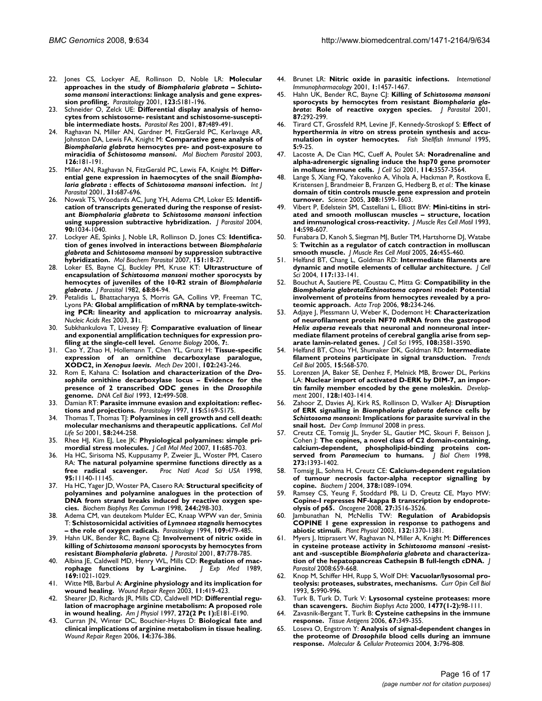- <span id="page-15-0"></span>22. Jones CS, Lockyer AE, Rollinson D, Noble LR: **Molecular approaches in the study of** *Biomphalaria glabrata* **–** *Schistosoma mansoni* **[interactions: linkage analysis and gene expres](http://www.ncbi.nlm.nih.gov/entrez/query.fcgi?cmd=Retrieve&db=PubMed&dopt=Abstract&list_uids=11769282)[sion profiling.](http://www.ncbi.nlm.nih.gov/entrez/query.fcgi?cmd=Retrieve&db=PubMed&dopt=Abstract&list_uids=11769282)** *Parasitology* 2001, **123:**S181-196.
- 23. Schneider O, Zelck UE: **[Differential display analysis of hemo](http://www.ncbi.nlm.nih.gov/entrez/query.fcgi?cmd=Retrieve&db=PubMed&dopt=Abstract&list_uids=11411951)[cytes from schistosome- resistant and schistosome-suscepti](http://www.ncbi.nlm.nih.gov/entrez/query.fcgi?cmd=Retrieve&db=PubMed&dopt=Abstract&list_uids=11411951)[ble intermediate hosts.](http://www.ncbi.nlm.nih.gov/entrez/query.fcgi?cmd=Retrieve&db=PubMed&dopt=Abstract&list_uids=11411951)** *Parasitol Res* 2001, **87:**489-491.
- 24. Raghavan N, Miller AN, Gardner M, FitzGerald PC, Kerlavage AR, Johnston DA, Lewis FA, Knight M: **Comparative gene analysis of** *Biomphalaria glabrata* **hemocytes pre- and post-exposure to miracidia of** *Schistosoma mansoni***[.](http://www.ncbi.nlm.nih.gov/entrez/query.fcgi?cmd=Retrieve&db=PubMed&dopt=Abstract&list_uids=12615317)** *Mol Biochem Parasitol* 2003, **126:**181-191.
- 25. Miller AN, Raghavan N, FitzGerald PC, Lewis FA, Knight M: **Differential gene expression in haemocytes of the snail** *Biomphalaria glabrata* **: effects of** *Schistosoma mansoni* **[infection.](http://www.ncbi.nlm.nih.gov/entrez/query.fcgi?cmd=Retrieve&db=PubMed&dopt=Abstract&list_uids=11336750)** *Int J Parasitol* 2001, **31:**687-696.
- 26. Nowak TS, Woodards AC, Jung YH, Adema CM, Loker ES: **Identification of transcripts generated during the response of resistant** *Biomphalaria glabrata* **to** *Schistosoma mansoni* **[infection](http://www.ncbi.nlm.nih.gov/entrez/query.fcgi?cmd=Retrieve&db=PubMed&dopt=Abstract&list_uids=15562603) [using suppression subtractive hybridization.](http://www.ncbi.nlm.nih.gov/entrez/query.fcgi?cmd=Retrieve&db=PubMed&dopt=Abstract&list_uids=15562603)** *J Parasitol* 2004, **90:**1034-1040.
- 27. Lockyer AE, Spinks J, Noble LR, Rollinson D, Jones CS: **Identification of genes involved in interactions between** *Biomphalaria glabrata* **and** *Schistosoma mansoni* **[by suppression subtractive](http://www.ncbi.nlm.nih.gov/entrez/query.fcgi?cmd=Retrieve&db=PubMed&dopt=Abstract&list_uids=17081633) [hybridization.](http://www.ncbi.nlm.nih.gov/entrez/query.fcgi?cmd=Retrieve&db=PubMed&dopt=Abstract&list_uids=17081633)** *Mol Biochem Parasitol* 2007, **151:**18-27.
- 28. Loker ES, Bayne CJ, Buckley PM, Kruse KT: **Ultrastructure of encapsulation of** *Schistosoma mansoni* **mother sporocysts by hemocytes of juveniles of the 10-R2 strain of** *Biomphalaria glabrata***[.](http://www.ncbi.nlm.nih.gov/entrez/query.fcgi?cmd=Retrieve&db=PubMed&dopt=Abstract&list_uids=7077450)** *J Parasitol* 1982, **68:**84-94.
- 29. Petalidis L, Bhattacharyya S, Morris GA, Collins VP, Freeman TC, Lyons PA: **[Global amplification of mRNA by template-switch](http://www.ncbi.nlm.nih.gov/entrez/query.fcgi?cmd=Retrieve&db=PubMed&dopt=Abstract&list_uids=14602935)[ing PCR: linearity and application to microarray analysis.](http://www.ncbi.nlm.nih.gov/entrez/query.fcgi?cmd=Retrieve&db=PubMed&dopt=Abstract&list_uids=14602935)** *Nucleic Acids Res* 2003, **31:**.
- 30. Subkhankulova T, Livesey FJ: **[Comparative evaluation of linear](http://www.ncbi.nlm.nih.gov/entrez/query.fcgi?cmd=Retrieve&db=PubMed&dopt=Abstract&list_uids=16542485) [and exponential amplification techniques for expression pro](http://www.ncbi.nlm.nih.gov/entrez/query.fcgi?cmd=Retrieve&db=PubMed&dopt=Abstract&list_uids=16542485)[filing at the single-cell level.](http://www.ncbi.nlm.nih.gov/entrez/query.fcgi?cmd=Retrieve&db=PubMed&dopt=Abstract&list_uids=16542485)** *Genome Biology* 2006, **7:**.
- 31. Cao Y, Zhao H, Hollemann T, Chen YL, Grunz H: **Tissue-specific expression of an ornithine decarboxylase paralogue, XODC2, in** *Xenopus laevis***[.](http://www.ncbi.nlm.nih.gov/entrez/query.fcgi?cmd=Retrieve&db=PubMed&dopt=Abstract&list_uids=11287202)** *Mech Dev* 2001, **102:**243-246.
- <span id="page-15-1"></span>32. Rom E, Kahana C: **Isolation and characterization of the** *Drosophila* **ornithine decarboxylase locus – Evidence for the presence of 2 transcribed ODC genes in the** *Drosophila* **[genome.](http://www.ncbi.nlm.nih.gov/entrez/query.fcgi?cmd=Retrieve&db=PubMed&dopt=Abstract&list_uids=8329117)** *DNA Cell Biol* 1993, **12:**499-508.
- 33. Damian RT: **[Parasite immune evasion and exploitation: reflec](http://www.ncbi.nlm.nih.gov/entrez/query.fcgi?cmd=Retrieve&db=PubMed&dopt=Abstract&list_uids=9571701)[tions and projections.](http://www.ncbi.nlm.nih.gov/entrez/query.fcgi?cmd=Retrieve&db=PubMed&dopt=Abstract&list_uids=9571701)** *Parasitology* 1997, **115:**S169-S175.
- 34. Thomas T, Thomas TJ: **[Polyamines in cell growth and cell death:](http://www.ncbi.nlm.nih.gov/entrez/query.fcgi?cmd=Retrieve&db=PubMed&dopt=Abstract&list_uids=11289306) [molecular mechanisms and therapeutic applications.](http://www.ncbi.nlm.nih.gov/entrez/query.fcgi?cmd=Retrieve&db=PubMed&dopt=Abstract&list_uids=11289306)** *Cell Mol Life Sci* 2001, **58:**244-258.
- 35. Rhee HJ, Kim EJ, Lee JK: **[Physiological polyamines: simple pri](http://www.ncbi.nlm.nih.gov/entrez/query.fcgi?cmd=Retrieve&db=PubMed&dopt=Abstract&list_uids=17760833)[mordial stress molecules.](http://www.ncbi.nlm.nih.gov/entrez/query.fcgi?cmd=Retrieve&db=PubMed&dopt=Abstract&list_uids=17760833)** *J Cell Mol Med* 2007, **11:**685-703.
- 36. Ha HC, Sirisoma NS, Kuppusamy P, Zweier JL, Woster PM, Casero RA: **[The natural polyamine spermine functions directly as a](http://www.ncbi.nlm.nih.gov/entrez/query.fcgi?cmd=Retrieve&db=PubMed&dopt=Abstract&list_uids=9736703) [free radical scavenger.](http://www.ncbi.nlm.nih.gov/entrez/query.fcgi?cmd=Retrieve&db=PubMed&dopt=Abstract&list_uids=9736703)** *Proc Natl Acad Sci USA* 1998, **95:**11140-11145.
- 37. Ha HC, Yager JD, Woster PA, Casero RA: **[Structural specificity of](http://www.ncbi.nlm.nih.gov/entrez/query.fcgi?cmd=Retrieve&db=PubMed&dopt=Abstract&list_uids=9514920) [polyamines and polyamine analogues in the protection of](http://www.ncbi.nlm.nih.gov/entrez/query.fcgi?cmd=Retrieve&db=PubMed&dopt=Abstract&list_uids=9514920) DNA from strand breaks induced by reactive oxygen spe[cies.](http://www.ncbi.nlm.nih.gov/entrez/query.fcgi?cmd=Retrieve&db=PubMed&dopt=Abstract&list_uids=9514920)** *Biochem Biophys Res Commun* 1998, **244:**298-303.
- <span id="page-15-2"></span>38. Adema CM, van deutekom Mulder EC, Knaap WPW van der, Sminia T: **Schistosomicidal activities of** *Lymnaea stagnalis* **[hemocytes](http://www.ncbi.nlm.nih.gov/entrez/query.fcgi?cmd=Retrieve&db=PubMed&dopt=Abstract&list_uids=7800416) [– the role of oxygen radicals.](http://www.ncbi.nlm.nih.gov/entrez/query.fcgi?cmd=Retrieve&db=PubMed&dopt=Abstract&list_uids=7800416)** *Parasitology* 1994, **109:**479-485.
- 39. Hahn UK, Bender RC, Bayne CJ: **Involvement of nitric oxide in killing of** *Schistosoma mansoni* **sporocysts by hemocytes from resistant** *Biomphalaria glabrata***[.](http://www.ncbi.nlm.nih.gov/entrez/query.fcgi?cmd=Retrieve&db=PubMed&dopt=Abstract&list_uids=11534641)** *J Parasitol* 2001, **87:**778-785.
- 40. Albina JE, Caldwell MD, Henry WL, Mills CD: **[Regulation of mac](http://www.ncbi.nlm.nih.gov/entrez/query.fcgi?cmd=Retrieve&db=PubMed&dopt=Abstract&list_uids=2538541)[rophage functions by L-arginine.](http://www.ncbi.nlm.nih.gov/entrez/query.fcgi?cmd=Retrieve&db=PubMed&dopt=Abstract&list_uids=2538541)** *J Exp Med* 1989, **169:**1021-1029.
- 41. Witte MB, Barbul A: **[Arginine physiology and its implication for](http://www.ncbi.nlm.nih.gov/entrez/query.fcgi?cmd=Retrieve&db=PubMed&dopt=Abstract&list_uids=14617280) [wound healing.](http://www.ncbi.nlm.nih.gov/entrez/query.fcgi?cmd=Retrieve&db=PubMed&dopt=Abstract&list_uids=14617280)** *Wound Repair Regen* 2003, **11:**419-423.
- 42. Shearer JD, Richards JR, Mills CD, Caldwell MD: **[Differential regu](http://www.ncbi.nlm.nih.gov/entrez/query.fcgi?cmd=Retrieve&db=PubMed&dopt=Abstract&list_uids=9124321)[lation of macrophage arginine metabolism: A proposed role](http://www.ncbi.nlm.nih.gov/entrez/query.fcgi?cmd=Retrieve&db=PubMed&dopt=Abstract&list_uids=9124321) [in wound healing.](http://www.ncbi.nlm.nih.gov/entrez/query.fcgi?cmd=Retrieve&db=PubMed&dopt=Abstract&list_uids=9124321)** *Am J Physiol* 1997, **272(2 Pt 1):**E181-E190.
- 43. Curran JN, Winter DC, Bouchier-Hayes D: **[Biological fate and](http://www.ncbi.nlm.nih.gov/entrez/query.fcgi?cmd=Retrieve&db=PubMed&dopt=Abstract&list_uids=16939563) [clinical implications of arginine metabolism in tissue healing.](http://www.ncbi.nlm.nih.gov/entrez/query.fcgi?cmd=Retrieve&db=PubMed&dopt=Abstract&list_uids=16939563)** *Wound Repair Regen* 2006, **14:**376-386.
- 44. Brunet LR: **[Nitric oxide in parasitic infections.](http://www.ncbi.nlm.nih.gov/entrez/query.fcgi?cmd=Retrieve&db=PubMed&dopt=Abstract&list_uids=11515811)** *International Immunopharmacology* 2001, **1:**1457-1467.
- <span id="page-15-3"></span>45. Hahn UK, Bender RC, Bayne CJ: **Killing of** *Schistosoma mansoni* **sporocysts by hemocytes from resistant** *Biomphalaria glabrata***[: Role of reactive oxygen species.](http://www.ncbi.nlm.nih.gov/entrez/query.fcgi?cmd=Retrieve&db=PubMed&dopt=Abstract&list_uids=11318558)** *J Parasitol* 2001, **87:**292-299.
- 46. Tirard CT, Grossfeld RM, Levine JF, Kennedy-Stroskopf S: **Effect of hyperthermia** *in vitro* **on stress protein synthesis and accumulation in oyster hemocytes.** *Fish Shellfish Immunol* 1995, **5:**9-25.
- 47. Lacoste A, De Cian MC, Cueff A, Poulet SA: **[Noradrenaline and](http://www.ncbi.nlm.nih.gov/entrez/query.fcgi?cmd=Retrieve&db=PubMed&dopt=Abstract&list_uids=11682614) [alpha-adrenergic signaling induce the hsp70 gene promoter](http://www.ncbi.nlm.nih.gov/entrez/query.fcgi?cmd=Retrieve&db=PubMed&dopt=Abstract&list_uids=11682614) [in mollusc immune cells.](http://www.ncbi.nlm.nih.gov/entrez/query.fcgi?cmd=Retrieve&db=PubMed&dopt=Abstract&list_uids=11682614)** *J Cell Sci* 2001, **114:**3557-3564.
- 48. Lange S, Xiang FQ, Yakovenko A, Vihola A, Hackman P, Rostkova E, Kristensen J, Brandmeier B, Franzen G, Hedberg B, *et al.*: **[The kinase](http://www.ncbi.nlm.nih.gov/entrez/query.fcgi?cmd=Retrieve&db=PubMed&dopt=Abstract&list_uids=15802564) [domain of titin controls muscle gene expression and protein](http://www.ncbi.nlm.nih.gov/entrez/query.fcgi?cmd=Retrieve&db=PubMed&dopt=Abstract&list_uids=15802564) [turnover.](http://www.ncbi.nlm.nih.gov/entrez/query.fcgi?cmd=Retrieve&db=PubMed&dopt=Abstract&list_uids=15802564)** *Science* 2005, **308:**1599-1603.
- 49. Vibert P, Edelstein SM, Castellani L, Elliott BW: **[Mini-titins in stri](http://www.ncbi.nlm.nih.gov/entrez/query.fcgi?cmd=Retrieve&db=PubMed&dopt=Abstract&list_uids=8126220)[ated and smooth molluscan muscles – structure, location](http://www.ncbi.nlm.nih.gov/entrez/query.fcgi?cmd=Retrieve&db=PubMed&dopt=Abstract&list_uids=8126220) [and immunological cross-reactivity.](http://www.ncbi.nlm.nih.gov/entrez/query.fcgi?cmd=Retrieve&db=PubMed&dopt=Abstract&list_uids=8126220)** *J Muscle Res Cell Motil* 1993, **14:**598-607.
- 50. Funabara D, Kanoh S, Siegman MJ, Butler TM, Hartshorne DJ, Watabe S: **[Twitchin as a regulator of catch contraction in molluscan](http://www.ncbi.nlm.nih.gov/entrez/query.fcgi?cmd=Retrieve&db=PubMed&dopt=Abstract&list_uids=16453161) [smooth muscle.](http://www.ncbi.nlm.nih.gov/entrez/query.fcgi?cmd=Retrieve&db=PubMed&dopt=Abstract&list_uids=16453161)** *J Muscle Res Cell Motil* 2005, **26:**455-460.
- 51. Helfand BT, Chang L, Goldman RD: **[Intermediate filaments are](http://www.ncbi.nlm.nih.gov/entrez/query.fcgi?cmd=Retrieve&db=PubMed&dopt=Abstract&list_uids=14676269) [dynamic and motile elements of cellular architecture.](http://www.ncbi.nlm.nih.gov/entrez/query.fcgi?cmd=Retrieve&db=PubMed&dopt=Abstract&list_uids=14676269)** *J Cell Sci* 2004, **117:**133-141.
- 52. Bouchut A, Sautiere PE, Coustau C, Mitta G: **Compatibility in the** *Biomphalaria glabrata/Echinostoma caproni* **[model: Potential](http://www.ncbi.nlm.nih.gov/entrez/query.fcgi?cmd=Retrieve&db=PubMed&dopt=Abstract&list_uids=16792992) [involvement of proteins from hemocytes revealed by a pro](http://www.ncbi.nlm.nih.gov/entrez/query.fcgi?cmd=Retrieve&db=PubMed&dopt=Abstract&list_uids=16792992)[teomic approach.](http://www.ncbi.nlm.nih.gov/entrez/query.fcgi?cmd=Retrieve&db=PubMed&dopt=Abstract&list_uids=16792992)** *Acta Trop* 2006, **98:**234-246.
- <span id="page-15-4"></span>53. Adjaye J, Plessmann U, Weber K, Dodemont H: **Characterization of neurofilament protein NF70 mRNA from the gastropod** *Helix aspersa* **[reveals that neuronal and nonneuronal inter](http://www.ncbi.nlm.nih.gov/entrez/query.fcgi?cmd=Retrieve&db=PubMed&dopt=Abstract&list_uids=8586669)[mediate filament proteins of cerebral ganglia arise from sep](http://www.ncbi.nlm.nih.gov/entrez/query.fcgi?cmd=Retrieve&db=PubMed&dopt=Abstract&list_uids=8586669)[arate lamin-related genes.](http://www.ncbi.nlm.nih.gov/entrez/query.fcgi?cmd=Retrieve&db=PubMed&dopt=Abstract&list_uids=8586669)** *J Cell Sci* 1995, **108:**3581-3590.
- 54. Helfand BT, Chou YH, Shumaker DK, Goldman RD: **[Intermediate](http://www.ncbi.nlm.nih.gov/entrez/query.fcgi?cmd=Retrieve&db=PubMed&dopt=Abstract&list_uids=16213139) [filament proteins participate in signal transduction.](http://www.ncbi.nlm.nih.gov/entrez/query.fcgi?cmd=Retrieve&db=PubMed&dopt=Abstract&list_uids=16213139)** *Trends Cell Biol* 2005, **15:**568-570.
- Lorenzen JA, Baker SE, Denhez F, Melnick MB, Brower DL, Perkins LA: **[Nuclear import of activated D-ERK by DIM-7, an impor](http://www.ncbi.nlm.nih.gov/entrez/query.fcgi?cmd=Retrieve&db=PubMed&dopt=Abstract&list_uids=11262240)[tin family member encoded by the gene moleskin.](http://www.ncbi.nlm.nih.gov/entrez/query.fcgi?cmd=Retrieve&db=PubMed&dopt=Abstract&list_uids=11262240)** *Development* 2001, **128:**1403-1414.
- <span id="page-15-5"></span>56. Zahoor Z, Davies AJ, Kirk RS, Rollinson D, Walker AJ: **Disruption of ERK signalling in** *Biomphalaria glabrata* **defence cells by** *Schistosoma mansoni***[: Implications for parasite survival in the](http://www.ncbi.nlm.nih.gov/entrez/query.fcgi?cmd=Retrieve&db=PubMed&dopt=Abstract&list_uids=18619674) [snail host.](http://www.ncbi.nlm.nih.gov/entrez/query.fcgi?cmd=Retrieve&db=PubMed&dopt=Abstract&list_uids=18619674)** *Dev Comp Immunol* 2008 in press.
- Creutz CE, Tomsig JL, Snyder SL, Gautier MC, Skouri F, Beisson J, Cohen J: **The copines, a novel class of C2 domain-containing, calcium-dependent, phospholipid-binding proteins conserved from** *Paramecium* **[to humans.](http://www.ncbi.nlm.nih.gov/entrez/query.fcgi?cmd=Retrieve&db=PubMed&dopt=Abstract&list_uids=9430674)** *J Biol Chem* 1998, **273:**1393-1402.
- 58. Tomsig JL, Sohma H, Creutz CE: **[Calcium-dependent regulation](http://www.ncbi.nlm.nih.gov/entrez/query.fcgi?cmd=Retrieve&db=PubMed&dopt=Abstract&list_uids=14674885) [of tumour necrosis factor-alpha receptor signalling by](http://www.ncbi.nlm.nih.gov/entrez/query.fcgi?cmd=Retrieve&db=PubMed&dopt=Abstract&list_uids=14674885) [copine.](http://www.ncbi.nlm.nih.gov/entrez/query.fcgi?cmd=Retrieve&db=PubMed&dopt=Abstract&list_uids=14674885)** *Biochem J* 2004, **378:**1089-1094.
- Ramsey CS, Yeung F, Stoddard PB, Li D, Creutz CE, Mayo MW: **[Copine-I represses NF-kappa B transcription by endoprote](http://www.ncbi.nlm.nih.gov/entrez/query.fcgi?cmd=Retrieve&db=PubMed&dopt=Abstract&list_uids=18212740)[olysis of p65.](http://www.ncbi.nlm.nih.gov/entrez/query.fcgi?cmd=Retrieve&db=PubMed&dopt=Abstract&list_uids=18212740)** *Oncogene* 2008, **27:**3516-3526.
- Jambunathan N, McNellis TW: [Regulation of Arabidopsis](http://www.ncbi.nlm.nih.gov/entrez/query.fcgi?cmd=Retrieve&db=PubMed&dopt=Abstract&list_uids=12857819) **[COPINE 1 gene expression in response to pathogens and](http://www.ncbi.nlm.nih.gov/entrez/query.fcgi?cmd=Retrieve&db=PubMed&dopt=Abstract&list_uids=12857819) [abiotic stimuli.](http://www.ncbi.nlm.nih.gov/entrez/query.fcgi?cmd=Retrieve&db=PubMed&dopt=Abstract&list_uids=12857819)** *Plant Physiol* 2003, **132:**1370-1381.
- <span id="page-15-6"></span>61. Myers J, Ittiprasert W, Raghavan N, Miller A, Knight M: **Differences in cysteine protease activity in** *Schistosoma mansoni* **-resistant and -susceptible** *Biomphalaria glabrata* **[and characteriza](http://www.ncbi.nlm.nih.gov/entrez/query.fcgi?cmd=Retrieve&db=PubMed&dopt=Abstract&list_uids=18605796)[tion of the hepatopancreas Cathepsin B full-length cDNA.](http://www.ncbi.nlm.nih.gov/entrez/query.fcgi?cmd=Retrieve&db=PubMed&dopt=Abstract&list_uids=18605796)** *J Parasitol* 2008:659-668.
- Knop M, Schiffer HH, Rupp S, Wolf DH: [Vacuolar/lysosomal pro](http://www.ncbi.nlm.nih.gov/entrez/query.fcgi?cmd=Retrieve&db=PubMed&dopt=Abstract&list_uids=8129953)**[teolysis: proteases, substrates, mechanisms.](http://www.ncbi.nlm.nih.gov/entrez/query.fcgi?cmd=Retrieve&db=PubMed&dopt=Abstract&list_uids=8129953)** *Curr Opin Cell Biol* 1993, **5:**990-996.
- 63. Turk B, Turk D, Turk V: **[Lysosomal cysteine proteases: more](http://www.ncbi.nlm.nih.gov/entrez/query.fcgi?cmd=Retrieve&db=PubMed&dopt=Abstract&list_uids=10708852) [than scavengers.](http://www.ncbi.nlm.nih.gov/entrez/query.fcgi?cmd=Retrieve&db=PubMed&dopt=Abstract&list_uids=10708852)** *Biochim Biophys Acta* 2000, **1477(1-2):**98-111.
- 64. Zavasnik-Bergant T, Turk B: **[Cysteine cathepsins in the immune](http://www.ncbi.nlm.nih.gov/entrez/query.fcgi?cmd=Retrieve&db=PubMed&dopt=Abstract&list_uids=16671941) [response.](http://www.ncbi.nlm.nih.gov/entrez/query.fcgi?cmd=Retrieve&db=PubMed&dopt=Abstract&list_uids=16671941)** *Tissue Antigens* 2006, **67:**349-355.
- 65. Loseva O, Engstrom Y: **Analysis of signal-dependent changes in the proteome of** *Drosophila* **blood cells during an immune response.** *Molecular & Cellular Proteomics* 2004, **3:**796-808.